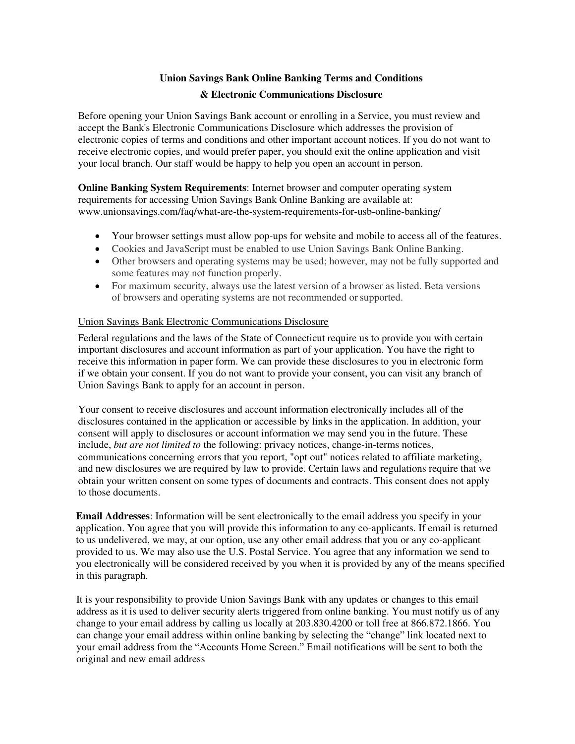# **Union Savings Bank Online Banking Terms and Conditions & Electronic Communications Disclosure**

Before opening your Union Savings Bank account or enrolling in a Service, you must review and accept the Bank's Electronic Communications Disclosure which addresses the provision of electronic copies of terms and conditions and other important account notices. If you do not want to receive electronic copies, and would prefer paper, you should exit the online application and visit your local branch. Our staff would be happy to help you open an account in person.

**Online Banking System Requirements**: Internet browser and computer operating system requirements for accessing Union Savings Bank Online Banking are available at: www.unionsavings.com/faq/what-are-the-system-requirements-for-usb-online-banking/

- Your browser settings must allow pop-ups for website and mobile to access all of the features.
- Cookies and JavaScript must be enabled to use Union Savings Bank Online Banking.
- Other browsers and operating systems may be used; however, may not be fully supported and some features may not function properly.
- For maximum security, always use the latest version of a browser as listed. Beta versions of browsers and operating systems are not recommended or supported.

# Union Savings Bank Electronic Communications Disclosure

Federal regulations and the laws of the State of Connecticut require us to provide you with certain important disclosures and account information as part of your application. You have the right to receive this information in paper form. We can provide these disclosures to you in electronic form if we obtain your consent. If you do not want to provide your consent, you can visit any branch of Union Savings Bank to apply for an account in person.

Your consent to receive disclosures and account information electronically includes all of the disclosures contained in the application or accessible by links in the application. In addition, your consent will apply to disclosures or account information we may send you in the future. These include, *but are not limited to* the following: privacy notices, change-in-terms notices, communications concerning errors that you report, "opt out" notices related to affiliate marketing, and new disclosures we are required by law to provide. Certain laws and regulations require that we obtain your written consent on some types of documents and contracts. This consent does not apply to those documents.

**Email Addresses**: Information will be sent electronically to the email address you specify in your application. You agree that you will provide this information to any co-applicants. If email is returned to us undelivered, we may, at our option, use any other email address that you or any co-applicant provided to us. We may also use the U.S. Postal Service. You agree that any information we send to you electronically will be considered received by you when it is provided by any of the means specified in this paragraph.

It is your responsibility to provide Union Savings Bank with any updates or changes to this email address as it is used to deliver security alerts triggered from online banking. You must notify us of any change to your email address by calling us locally at 203.830.4200 or toll free at 866.872.1866. You can change your email address within online banking by selecting the "change" link located next to your email address from the "Accounts Home Screen." Email notifications will be sent to both the original and new email address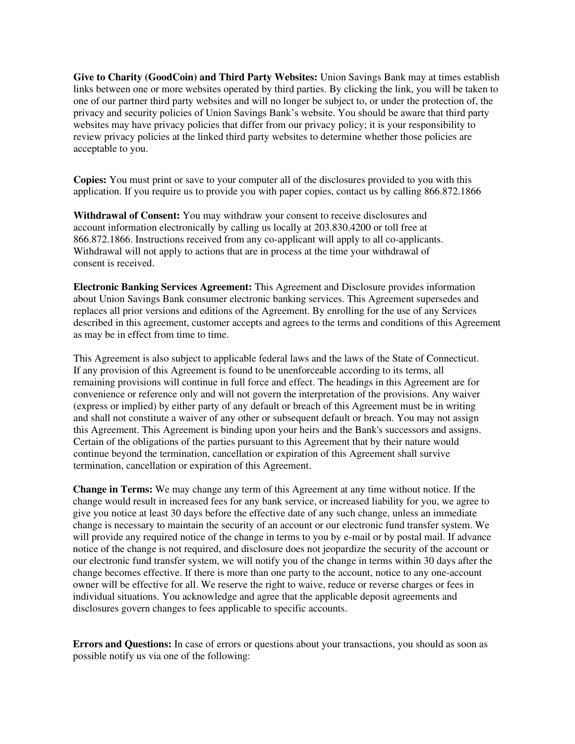**Give to Charity (GoodCoin) and Third Party Websites:** Union Savings Bank may at times establish links between one or more websites operated by third parties. By clicking the link, you will be taken to one of our partner third party websites and will no longer be subject to, or under the protection of, the privacy and security policies of Union Savings Bank's website. You should be aware that third party websites may have privacy policies that differ from our privacy policy; it is your responsibility to review privacy policies at the linked third party websites to determine whether those policies are acceptable to you.

**Copies:** You must print or save to your computer all of the disclosures provided to you with this application. If you require us to provide you with paper copies, contact us by calling 866.872.1866

**Withdrawal of Consent:** You may withdraw your consent to receive disclosures and account information electronically by calling us locally at 203.830.4200 or toll free at 866.872.1866. Instructions received from any co-applicant will apply to all co-applicants. Withdrawal will not apply to actions that are in process at the time your withdrawal of consent is received.

**Electronic Banking Services Agreement:** This Agreement and Disclosure provides information about Union Savings Bank consumer electronic banking services. This Agreement supersedes and replaces all prior versions and editions of the Agreement. By enrolling for the use of any Services described in this agreement, customer accepts and agrees to the terms and conditions of this Agreement as may be in effect from time to time.

This Agreement is also subject to applicable federal laws and the laws of the State of Connecticut. If any provision of this Agreement is found to be unenforceable according to its terms, all remaining provisions will continue in full force and effect. The headings in this Agreement are for convenience or reference only and will not govern the interpretation of the provisions. Any waiver (express or implied) by either party of any default or breach of this Agreement must be in writing and shall not constitute a waiver of any other or subsequent default or breach. You may not assign this Agreement. This Agreement is binding upon your heirs and the Bank's successors and assigns. Certain of the obligations of the parties pursuant to this Agreement that by their nature would continue beyond the termination, cancellation or expiration of this Agreement shall survive termination, cancellation or expiration of this Agreement.

**Change in Terms:** We may change any term of this Agreement at any time without notice. If the change would result in increased fees for any bank service, or increased liability for you, we agree to give you notice at least 30 days before the effective date of any such change, unless an immediate change is necessary to maintain the security of an account or our electronic fund transfer system. We will provide any required notice of the change in terms to you by e-mail or by postal mail. If advance notice of the change is not required, and disclosure does not jeopardize the security of the account or our electronic fund transfer system, we will notify you of the change in terms within 30 days after the change becomes effective. If there is more than one party to the account, notice to any one-account owner will be effective for all. We reserve the right to waive, reduce or reverse charges or fees in individual situations. You acknowledge and agree that the applicable deposit agreements and disclosures govern changes to fees applicable to specific accounts.

**Errors and Questions:** In case of errors or questions about your transactions, you should as soon as possible notify us via one of the following: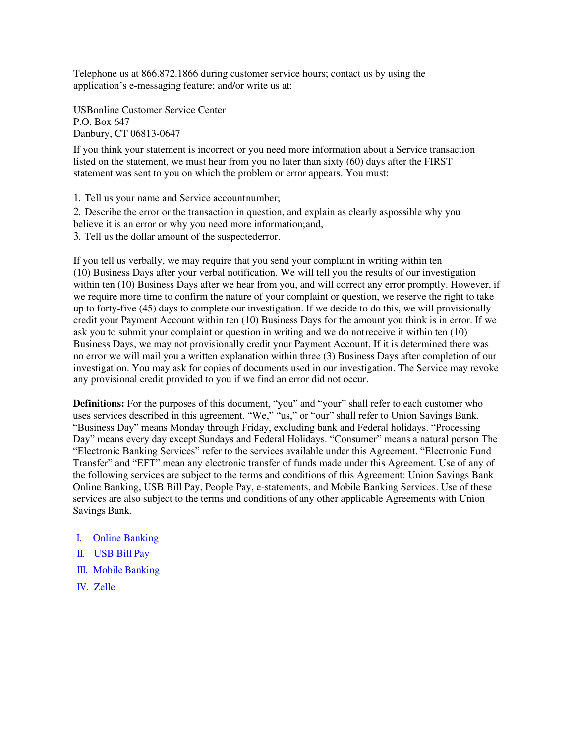Telephone us at 866.872.1866 during customer service hours; contact us by using the application's e-messaging feature; and/or write us at:

USBonline Customer Service Center P.O. Box 647 Danbury, CT 06813-0647

If you think your statement is incorrect or you need more information about a Service transaction listed on the statement, we must hear from you no later than sixty (60) days after the FIRST statement was sent to you on which the problem or error appears. You must:

1. Tell us your name and Service account number;

2. Describe the error or the transaction in question, and explain as clearly as possible why you believe it is an error or why you need more information; and,

3. Tell us the dollar amount of the suspected error.

If you tell us verbally, we may require that you send your complaint in writing within ten (10) Business Days after your verbal notification. We will tell you the results of our investigation within ten (10) Business Days after we hear from you, and will correct any error promptly. However, if we require more time to confirm the nature of your complaint or question, we reserve the right to take up to forty-five (45) days to complete our investigation. If we decide to do this, we will provisionally credit your Payment Account within ten (10) Business Days for the amount you think is in error. If we ask you to submit your complaint or question in writing and we do not receive it within ten (10) Business Days, we may not provisionally credit your Payment Account. If it is determined there was no error we will mail you a written explanation within three (3) Business Days after completion of our investigation. You may ask for copies of documents used in our investigation. The Service may revoke any provisional credit provided to you if we find an error did not occur.

**Definitions:** For the purposes of this document, "you" and "your" shall refer to each customer who uses services described in this agreement. "We," "us," or "our" shall refer to Union Savings Bank. "Business Day" means Monday through Friday, excluding bank and Federal holidays. "Processing Day" means every day except Sundays and Federal Holidays. "Consumer" means a natural person The "Electronic Banking Services" refer to the services available under this Agreement. "Electronic Fund Transfer" and "EFT" mean any electronic transfer of funds made under this Agreement. Use of any of the following services are subject to the terms and conditions of this Agreement: Union Savings Bank Online Banking, USB Bill Pay, People Pay, e-statements, and Mobile Banking Services. Use of these services are also subject to the terms and conditions of any other applicable Agreements with Union Savings Bank.

- I. Online Banking
- II. USB Bill Pay
- III. Mobile Banking
- IV. Zelle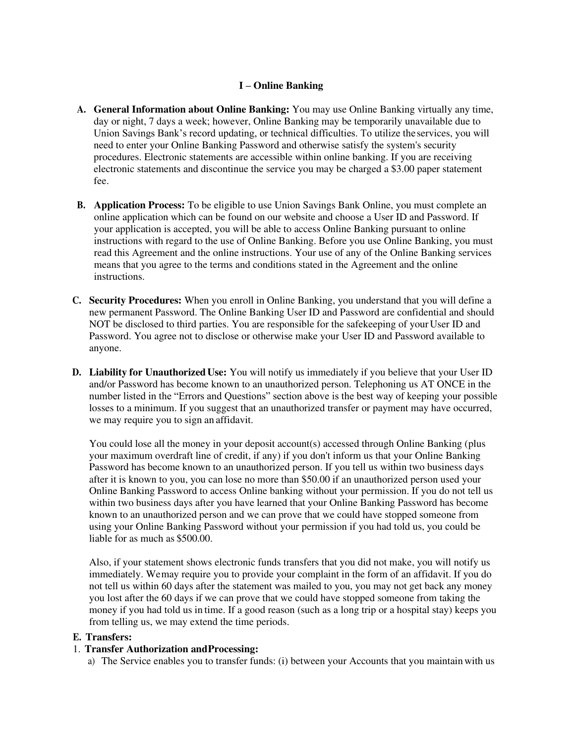# **I – Online Banking**

- **A. General Information about Online Banking:** You may use Online Banking virtually any time, day or night, 7 days a week; however, Online Banking may be temporarily unavailable due to Union Savings Bank's record updating, or technical difficulties. To utilize the services, you will need to enter your Online Banking Password and otherwise satisfy the system's security procedures. Electronic statements are accessible within online banking. If you are receiving electronic statements and discontinue the service you may be charged a \$3.00 paper statement fee.
- **B. Application Process:** To be eligible to use Union Savings Bank Online, you must complete an online application which can be found on our website and choose a User ID and Password. If your application is accepted, you will be able to access Online Banking pursuant to online instructions with regard to the use of Online Banking. Before you use Online Banking, you must read this Agreement and the online instructions. Your use of any of the Online Banking services means that you agree to the terms and conditions stated in the Agreement and the online instructions.
- **C. Security Procedures:** When you enroll in Online Banking, you understand that you will define a new permanent Password. The Online Banking User ID and Password are confidential and should NOT be disclosed to third parties. You are responsible for the safekeeping of your User ID and Password. You agree not to disclose or otherwise make your User ID and Password available to anyone.
- **D. Liability for Unauthorized Use:** You will notify us immediately if you believe that your User ID and/or Password has become known to an unauthorized person. Telephoning us AT ONCE in the number listed in the "Errors and Questions" section above is the best way of keeping your possible losses to a minimum. If you suggest that an unauthorized transfer or payment may have occurred, we may require you to sign an affidavit.

You could lose all the money in your deposit account(s) accessed through Online Banking (plus your maximum overdraft line of credit, if any) if you don't inform us that your Online Banking Password has become known to an unauthorized person. If you tell us within two business days after it is known to you, you can lose no more than \$50.00 if an unauthorized person used your Online Banking Password to access Online banking without your permission. If you do not tell us within two business days after you have learned that your Online Banking Password has become known to an unauthorized person and we can prove that we could have stopped someone from using your Online Banking Password without your permission if you had told us, you could be liable for as much as \$500.00.

Also, if your statement shows electronic funds transfers that you did not make, you will notify us immediately. We may require you to provide your complaint in the form of an affidavit. If you do not tell us within 60 days after the statement was mailed to you, you may not get back any money you lost after the 60 days if we can prove that we could have stopped someone from taking the money if you had told us in time. If a good reason (such as a long trip or a hospital stay) keeps you from telling us, we may extend the time periods.

# **E. Transfers:**

#### 1. **Transfer Authorization and Processing:**

a) The Service enables you to transfer funds: (i) between your Accounts that you maintain with us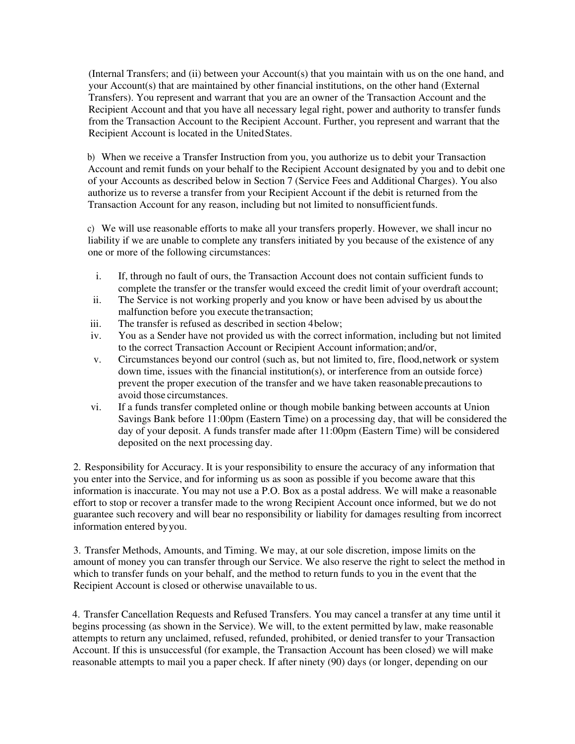(Internal Transfers; and (ii) between your Account(s) that you maintain with us on the one hand, and your Account(s) that are maintained by other financial institutions, on the other hand (External Transfers). You represent and warrant that you are an owner of the Transaction Account and the Recipient Account and that you have all necessary legal right, power and authority to transfer funds from the Transaction Account to the Recipient Account. Further, you represent and warrant that the Recipient Account is located in the United States.

b) When we receive a Transfer Instruction from you, you authorize us to debit your Transaction Account and remit funds on your behalf to the Recipient Account designated by you and to debit one of your Accounts as described below in Section 7 (Service Fees and Additional Charges). You also authorize us to reverse a transfer from your Recipient Account if the debit is returned from the Transaction Account for any reason, including but not limited to nonsufficient funds.

c) We will use reasonable efforts to make all your transfers properly. However, we shall incur no liability if we are unable to complete any transfers initiated by you because of the existence of any one or more of the following circumstances:

- i. If, through no fault of ours, the Transaction Account does not contain sufficient funds to complete the transfer or the transfer would exceed the credit limit of your overdraft account;
- ii. The Service is not working properly and you know or have been advised by us about the malfunction before you execute the transaction;
- iii. The transfer is refused as described in section 4 below;
- iv. You as a Sender have not provided us with the correct information, including but not limited to the correct Transaction Account or Recipient Account information; and/or,
- v. Circumstances beyond our control (such as, but not limited to, fire, flood, network or system down time, issues with the financial institution(s), or interference from an outside force) prevent the proper execution of the transfer and we have taken reasonable precautions to avoid those circumstances.
- vi. If a funds transfer completed online or though mobile banking between accounts at Union Savings Bank before 11:00pm (Eastern Time) on a processing day, that will be considered the day of your deposit. A funds transfer made after 11:00pm (Eastern Time) will be considered deposited on the next processing day.

2. Responsibility for Accuracy. It is your responsibility to ensure the accuracy of any information that you enter into the Service, and for informing us as soon as possible if you become aware that this information is inaccurate. You may not use a P.O. Box as a postal address. We will make a reasonable effort to stop or recover a transfer made to the wrong Recipient Account once informed, but we do not guarantee such recovery and will bear no responsibility or liability for damages resulting from incorrect information entered by you.

3. Transfer Methods, Amounts, and Timing. We may, at our sole discretion, impose limits on the amount of money you can transfer through our Service. We also reserve the right to select the method in which to transfer funds on your behalf, and the method to return funds to you in the event that the Recipient Account is closed or otherwise unavailable to us.

4. Transfer Cancellation Requests and Refused Transfers. You may cancel a transfer at any time until it begins processing (as shown in the Service). We will, to the extent permitted by law, make reasonable attempts to return any unclaimed, refused, refunded, prohibited, or denied transfer to your Transaction Account. If this is unsuccessful (for example, the Transaction Account has been closed) we will make reasonable attempts to mail you a paper check. If after ninety (90) days (or longer, depending on our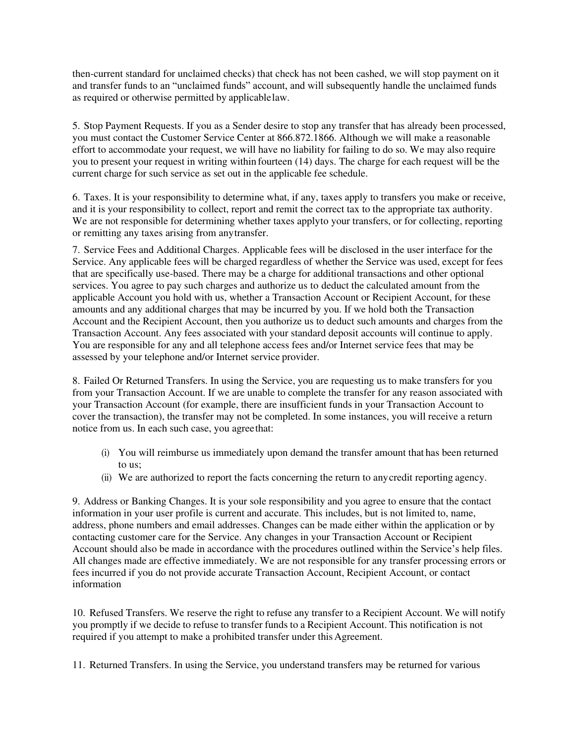then-current standard for unclaimed checks) that check has not been cashed, we will stop payment on it and transfer funds to an "unclaimed funds" account, and will subsequently handle the unclaimed funds as required or otherwise permitted by applicable law.

5. Stop Payment Requests. If you as a Sender desire to stop any transfer that has already been processed, you must contact the Customer Service Center at 866.872.1866. Although we will make a reasonable effort to accommodate your request, we will have no liability for failing to do so. We may also require you to present your request in writing within fourteen (14) days. The charge for each request will be the current charge for such service as set out in the applicable fee schedule.

6. Taxes. It is your responsibility to determine what, if any, taxes apply to transfers you make or receive, and it is your responsibility to collect, report and remit the correct tax to the appropriate tax authority. We are not responsible for determining whether taxes applyto your transfers, or for collecting, reporting or remitting any taxes arising from any transfer.

7. Service Fees and Additional Charges. Applicable fees will be disclosed in the user interface for the Service. Any applicable fees will be charged regardless of whether the Service was used, except for fees that are specifically use-based. There may be a charge for additional transactions and other optional services. You agree to pay such charges and authorize us to deduct the calculated amount from the applicable Account you hold with us, whether a Transaction Account or Recipient Account, for these amounts and any additional charges that may be incurred by you. If we hold both the Transaction Account and the Recipient Account, then you authorize us to deduct such amounts and charges from the Transaction Account. Any fees associated with your standard deposit accounts will continue to apply. You are responsible for any and all telephone access fees and/or Internet service fees that may be assessed by your telephone and/or Internet service provider.

8. Failed Or Returned Transfers. In using the Service, you are requesting us to make transfers for you from your Transaction Account. If we are unable to complete the transfer for any reason associated with your Transaction Account (for example, there are insufficient funds in your Transaction Account to cover the transaction), the transfer may not be completed. In some instances, you will receive a return notice from us. In each such case, you agree that:

- (i) You will reimburse us immediately upon demand the transfer amount that has been returned to us;
- (ii) We are authorized to report the facts concerning the return to any credit reporting agency.

9. Address or Banking Changes. It is your sole responsibility and you agree to ensure that the contact information in your user profile is current and accurate. This includes, but is not limited to, name, address, phone numbers and email addresses. Changes can be made either within the application or by contacting customer care for the Service. Any changes in your Transaction Account or Recipient Account should also be made in accordance with the procedures outlined within the Service's help files. All changes made are effective immediately. We are not responsible for any transfer processing errors or fees incurred if you do not provide accurate Transaction Account, Recipient Account, or contact information

10. Refused Transfers. We reserve the right to refuse any transfer to a Recipient Account. We will notify you promptly if we decide to refuse to transfer funds to a Recipient Account. This notification is not required if you attempt to make a prohibited transfer under this Agreement.

11. Returned Transfers. In using the Service, you understand transfers may be returned for various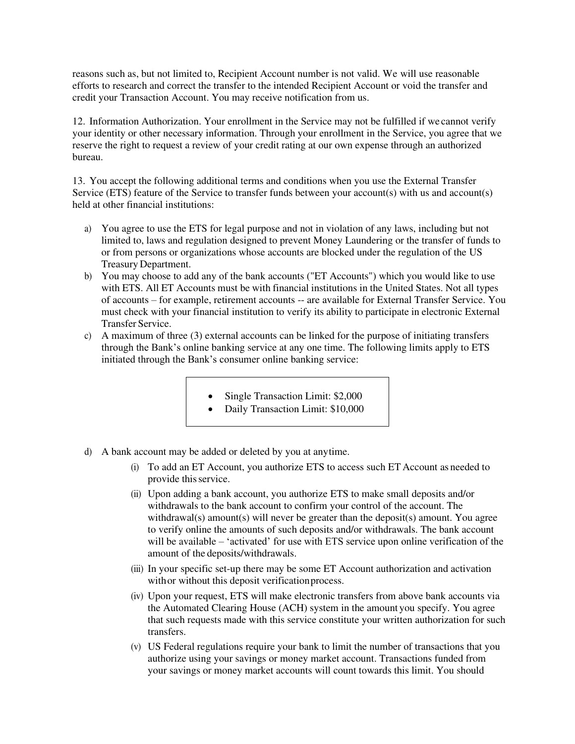reasons such as, but not limited to, Recipient Account number is not valid. We will use reasonable efforts to research and correct the transfer to the intended Recipient Account or void the transfer and credit your Transaction Account. You may receive notification from us.

12. Information Authorization. Your enrollment in the Service may not be fulfilled if we cannot verify your identity or other necessary information. Through your enrollment in the Service, you agree that we reserve the right to request a review of your credit rating at our own expense through an authorized bureau.

13. You accept the following additional terms and conditions when you use the External Transfer Service (ETS) feature of the Service to transfer funds between your account(s) with us and account(s) held at other financial institutions:

- a) You agree to use the ETS for legal purpose and not in violation of any laws, including but not limited to, laws and regulation designed to prevent Money Laundering or the transfer of funds to or from persons or organizations whose accounts are blocked under the regulation of the US Treasury Department.
- b) You may choose to add any of the bank accounts ("ET Accounts") which you would like to use with ETS. All ET Accounts must be with financial institutions in the United States. Not all types of accounts – for example, retirement accounts -- are available for External Transfer Service. You must check with your financial institution to verify its ability to participate in electronic External Transfer Service.
- c) A maximum of three (3) external accounts can be linked for the purpose of initiating transfers through the Bank's online banking service at any one time. The following limits apply to ETS initiated through the Bank's consumer online banking service:
	- Single Transaction Limit: \$2,000
	- Daily Transaction Limit: \$10,000
- d) A bank account may be added or deleted by you at any time.
	- (i) To add an ET Account, you authorize ETS to access such ET Account as needed to provide this service.
	- (ii) Upon adding a bank account, you authorize ETS to make small deposits and/or withdrawals to the bank account to confirm your control of the account. The withdrawal(s) amount(s) will never be greater than the deposit(s) amount. You agree to verify online the amounts of such deposits and/or withdrawals. The bank account will be available – 'activated' for use with ETS service upon online verification of the amount of the deposits/withdrawals.
	- (iii) In your specific set-up there may be some ET Account authorization and activation with or without this deposit verification process.
	- (iv) Upon your request, ETS will make electronic transfers from above bank accounts via the Automated Clearing House (ACH) system in the amount you specify. You agree that such requests made with this service constitute your written authorization for such transfers.
	- (v) US Federal regulations require your bank to limit the number of transactions that you authorize using your savings or money market account. Transactions funded from your savings or money market accounts will count towards this limit. You should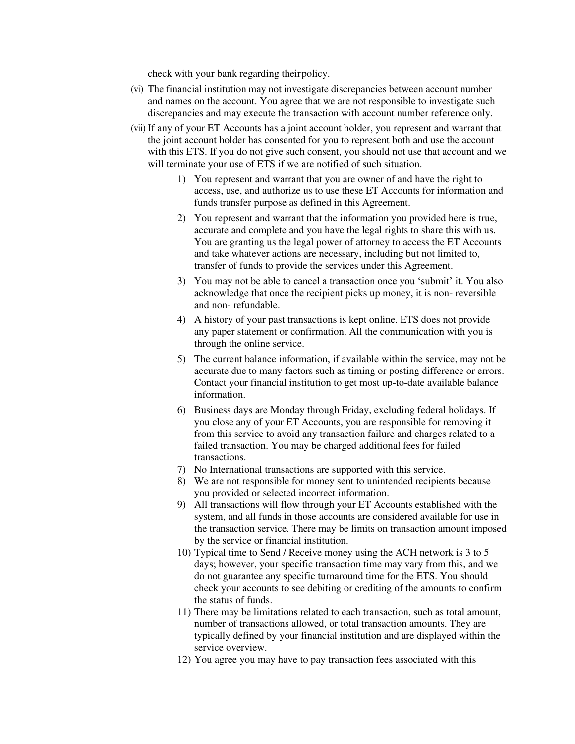check with your bank regarding their policy.

- (vi) The financial institution may not investigate discrepancies between account number and names on the account. You agree that we are not responsible to investigate such discrepancies and may execute the transaction with account number reference only.
- (vii) If any of your ET Accounts has a joint account holder, you represent and warrant that the joint account holder has consented for you to represent both and use the account with this ETS. If you do not give such consent, you should not use that account and we will terminate your use of ETS if we are notified of such situation.
	- 1) You represent and warrant that you are owner of and have the right to access, use, and authorize us to use these ET Accounts for information and funds transfer purpose as defined in this Agreement.
	- 2) You represent and warrant that the information you provided here is true, accurate and complete and you have the legal rights to share this with us. You are granting us the legal power of attorney to access the ET Accounts and take whatever actions are necessary, including but not limited to, transfer of funds to provide the services under this Agreement.
	- 3) You may not be able to cancel a transaction once you 'submit' it. You also acknowledge that once the recipient picks up money, it is non- reversible and non- refundable.
	- 4) A history of your past transactions is kept online. ETS does not provide any paper statement or confirmation. All the communication with you is through the online service.
	- 5) The current balance information, if available within the service, may not be accurate due to many factors such as timing or posting difference or errors. Contact your financial institution to get most up-to-date available balance information.
	- 6) Business days are Monday through Friday, excluding federal holidays. If you close any of your ET Accounts, you are responsible for removing it from this service to avoid any transaction failure and charges related to a failed transaction. You may be charged additional fees for failed transactions.
	- 7) No International transactions are supported with this service.
	- 8) We are not responsible for money sent to unintended recipients because you provided or selected incorrect information.
	- 9) All transactions will flow through your ET Accounts established with the system, and all funds in those accounts are considered available for use in the transaction service. There may be limits on transaction amount imposed by the service or financial institution.
	- 10) Typical time to Send / Receive money using the ACH network is 3 to 5 days; however, your specific transaction time may vary from this, and we do not guarantee any specific turnaround time for the ETS. You should check your accounts to see debiting or crediting of the amounts to confirm the status of funds.
	- 11) There may be limitations related to each transaction, such as total amount, number of transactions allowed, or total transaction amounts. They are typically defined by your financial institution and are displayed within the service overview.
	- 12) You agree you may have to pay transaction fees associated with this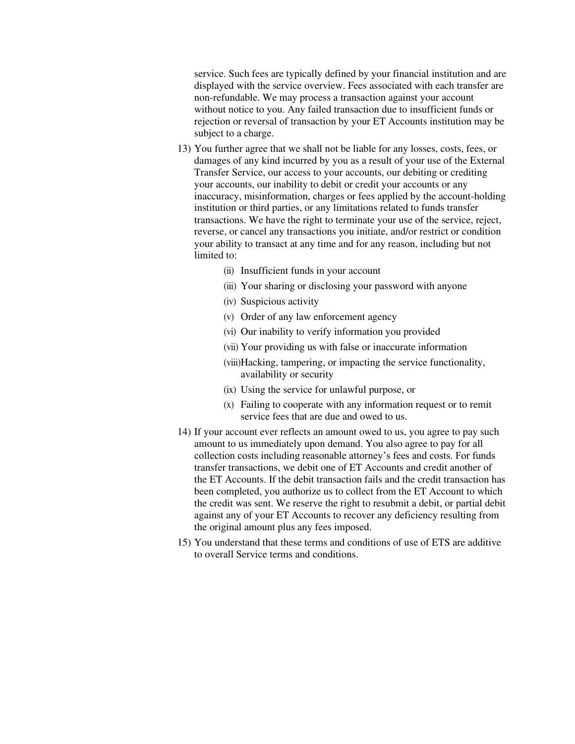service. Such fees are typically defined by your financial institution and are displayed with the service overview. Fees associated with each transfer are non-refundable. We may process a transaction against your account without notice to you. Any failed transaction due to insufficient funds or rejection or reversal of transaction by your ET Accounts institution may be subject to a charge.

- 13) You further agree that we shall not be liable for any losses, costs, fees, or damages of any kind incurred by you as a result of your use of the External Transfer Service, our access to your accounts, our debiting or crediting your accounts, our inability to debit or credit your accounts or any inaccuracy, misinformation, charges or fees applied by the account-holding institution or third parties, or any limitations related to funds transfer transactions. We have the right to terminate your use of the service, reject, reverse, or cancel any transactions you initiate, and/or restrict or condition your ability to transact at any time and for any reason, including but not limited to:
	- (ii) Insufficient funds in your account
	- (iii) Your sharing or disclosing your password with anyone
	- (iv) Suspicious activity
	- (v) Order of any law enforcement agency
	- (vi) Our inability to verify information you provided
	- (vii) Your providing us with false or inaccurate information
	- (viii)Hacking, tampering, or impacting the service functionality, availability or security
	- (ix) Using the service for unlawful purpose, or
	- (x) Failing to cooperate with any information request or to remit service fees that are due and owed to us.
- 14) If your account ever reflects an amount owed to us, you agree to pay such amount to us immediately upon demand. You also agree to pay for all collection costs including reasonable attorney's fees and costs. For funds transfer transactions, we debit one of ET Accounts and credit another of the ET Accounts. If the debit transaction fails and the credit transaction has been completed, you authorize us to collect from the ET Account to which the credit was sent. We reserve the right to resubmit a debit, or partial debit against any of your ET Accounts to recover any deficiency resulting from the original amount plus any fees imposed.
- 15) You understand that these terms and conditions of use of ETS are additive to overall Service terms and conditions.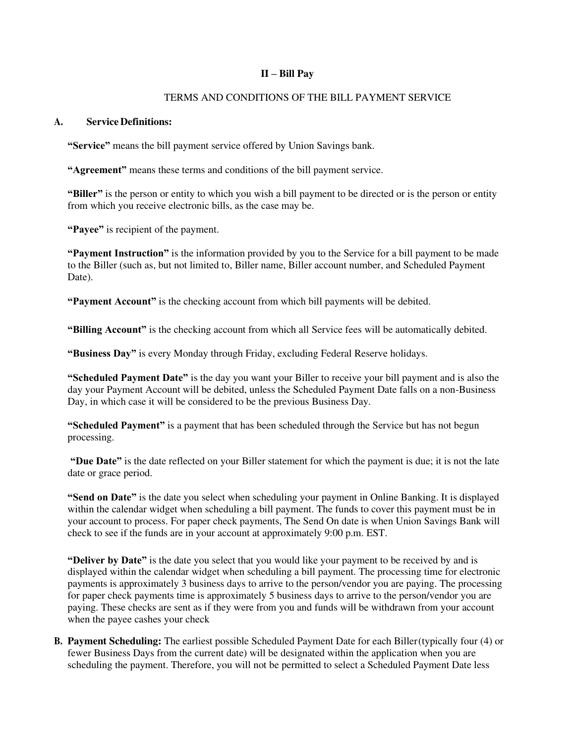# **II – Bill Pay**

# TERMS AND CONDITIONS OF THE BILL PAYMENT SERVICE

### **A. Service Definitions:**

**"Service"** means the bill payment service offered by Union Savings bank.

**"Agreement"** means these terms and conditions of the bill payment service.

**"Biller"** is the person or entity to which you wish a bill payment to be directed or is the person or entity from which you receive electronic bills, as the case may be.

**"Payee"** is recipient of the payment.

**"Payment Instruction"** is the information provided by you to the Service for a bill payment to be made to the Biller (such as, but not limited to, Biller name, Biller account number, and Scheduled Payment Date).

**"Payment Account"** is the checking account from which bill payments will be debited.

**"Billing Account"** is the checking account from which all Service fees will be automatically debited.

**"Business Day"** is every Monday through Friday, excluding Federal Reserve holidays.

**"Scheduled Payment Date"** is the day you want your Biller to receive your bill payment and is also the day your Payment Account will be debited, unless the Scheduled Payment Date falls on a non-Business Day, in which case it will be considered to be the previous Business Day.

**"Scheduled Payment"** is a payment that has been scheduled through the Service but has not begun processing.

**"Due Date"** is the date reflected on your Biller statement for which the payment is due; it is not the late date or grace period.

**"Send on Date"** is the date you select when scheduling your payment in Online Banking. It is displayed within the calendar widget when scheduling a bill payment. The funds to cover this payment must be in your account to process. For paper check payments, The Send On date is when Union Savings Bank will check to see if the funds are in your account at approximately 9:00 p.m. EST.

**"Deliver by Date"** is the date you select that you would like your payment to be received by and is displayed within the calendar widget when scheduling a bill payment. The processing time for electronic payments is approximately 3 business days to arrive to the person/vendor you are paying. The processing for paper check payments time is approximately 5 business days to arrive to the person/vendor you are paying. These checks are sent as if they were from you and funds will be withdrawn from your account when the payee cashes your check

**B. Payment Scheduling:** The earliest possible Scheduled Payment Date for each Biller (typically four (4) or fewer Business Days from the current date) will be designated within the application when you are scheduling the payment. Therefore, you will not be permitted to select a Scheduled Payment Date less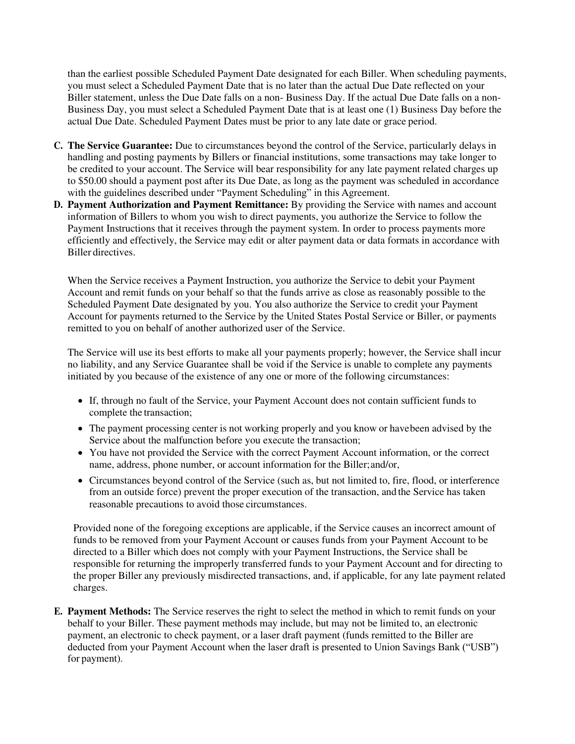than the earliest possible Scheduled Payment Date designated for each Biller. When scheduling payments, you must select a Scheduled Payment Date that is no later than the actual Due Date reflected on your Biller statement, unless the Due Date falls on a non- Business Day. If the actual Due Date falls on a non-Business Day, you must select a Scheduled Payment Date that is at least one (1) Business Day before the actual Due Date. Scheduled Payment Dates must be prior to any late date or grace period.

- **C. The Service Guarantee:** Due to circumstances beyond the control of the Service, particularly delays in handling and posting payments by Billers or financial institutions, some transactions may take longer to be credited to your account. The Service will bear responsibility for any late payment related charges up to \$50.00 should a payment post after its Due Date, as long as the payment was scheduled in accordance with the guidelines described under "Payment Scheduling" in this Agreement.
- **D. Payment Authorization and Payment Remittance:** By providing the Service with names and account information of Billers to whom you wish to direct payments, you authorize the Service to follow the Payment Instructions that it receives through the payment system. In order to process payments more efficiently and effectively, the Service may edit or alter payment data or data formats in accordance with Biller directives.

When the Service receives a Payment Instruction, you authorize the Service to debit your Payment Account and remit funds on your behalf so that the funds arrive as close as reasonably possible to the Scheduled Payment Date designated by you. You also authorize the Service to credit your Payment Account for payments returned to the Service by the United States Postal Service or Biller, or payments remitted to you on behalf of another authorized user of the Service.

The Service will use its best efforts to make all your payments properly; however, the Service shall incur no liability, and any Service Guarantee shall be void if the Service is unable to complete any payments initiated by you because of the existence of any one or more of the following circumstances:

- If, through no fault of the Service, your Payment Account does not contain sufficient funds to complete the transaction;
- The payment processing center is not working properly and you know or have been advised by the Service about the malfunction before you execute the transaction;
- You have not provided the Service with the correct Payment Account information, or the correct name, address, phone number, or account information for the Biller; and/or,
- Circumstances beyond control of the Service (such as, but not limited to, fire, flood, or interference from an outside force) prevent the proper execution of the transaction, and the Service has taken reasonable precautions to avoid those circumstances.

Provided none of the foregoing exceptions are applicable, if the Service causes an incorrect amount of funds to be removed from your Payment Account or causes funds from your Payment Account to be directed to a Biller which does not comply with your Payment Instructions, the Service shall be responsible for returning the improperly transferred funds to your Payment Account and for directing to the proper Biller any previously misdirected transactions, and, if applicable, for any late payment related charges.

**E. Payment Methods:** The Service reserves the right to select the method in which to remit funds on your behalf to your Biller. These payment methods may include, but may not be limited to, an electronic payment, an electronic to check payment, or a laser draft payment (funds remitted to the Biller are deducted from your Payment Account when the laser draft is presented to Union Savings Bank ("USB") for payment).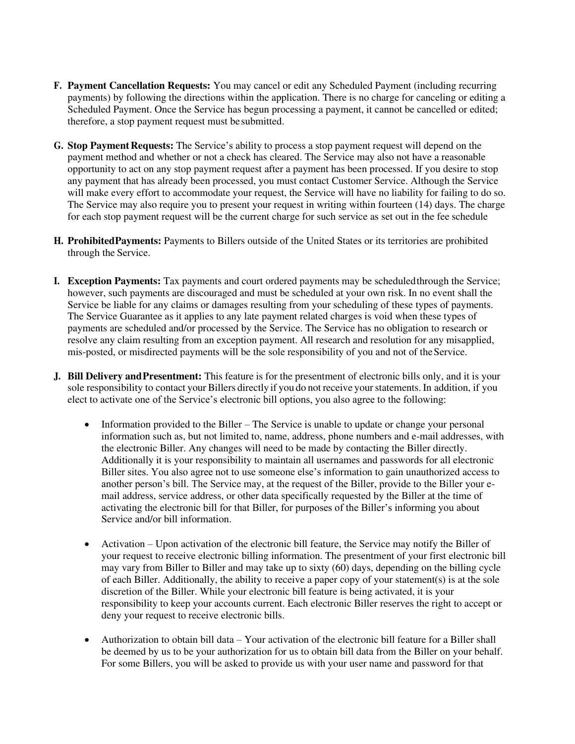- **F. Payment Cancellation Requests:** You may cancel or edit any Scheduled Payment (including recurring payments) by following the directions within the application. There is no charge for canceling or editing a Scheduled Payment. Once the Service has begun processing a payment, it cannot be cancelled or edited; therefore, a stop payment request must be submitted.
- **G. Stop Payment Requests:** The Service's ability to process a stop payment request will depend on the payment method and whether or not a check has cleared. The Service may also not have a reasonable opportunity to act on any stop payment request after a payment has been processed. If you desire to stop any payment that has already been processed, you must contact Customer Service. Although the Service will make every effort to accommodate your request, the Service will have no liability for failing to do so. The Service may also require you to present your request in writing within fourteen (14) days. The charge for each stop payment request will be the current charge for such service as set out in the fee schedule
- **H. Prohibited Payments:** Payments to Billers outside of the United States or its territories are prohibited through the Service.
- **I. Exception Payments:** Tax payments and court ordered payments may be scheduled through the Service; however, such payments are discouraged and must be scheduled at your own risk. In no event shall the Service be liable for any claims or damages resulting from your scheduling of these types of payments. The Service Guarantee as it applies to any late payment related charges is void when these types of payments are scheduled and/or processed by the Service. The Service has no obligation to research or resolve any claim resulting from an exception payment. All research and resolution for any misapplied, mis-posted, or misdirected payments will be the sole responsibility of you and not of the Service.
- **J. Bill Delivery and Presentment:** This feature is for the presentment of electronic bills only, and it is your sole responsibility to contact your Billers directly if you do not receive your statements. In addition, if you elect to activate one of the Service's electronic bill options, you also agree to the following:
	- Information provided to the Biller The Service is unable to update or change your personal information such as, but not limited to, name, address, phone numbers and e-mail addresses, with the electronic Biller. Any changes will need to be made by contacting the Biller directly. Additionally it is your responsibility to maintain all usernames and passwords for all electronic Biller sites. You also agree not to use someone else's information to gain unauthorized access to another person's bill. The Service may, at the request of the Biller, provide to the Biller your email address, service address, or other data specifically requested by the Biller at the time of activating the electronic bill for that Biller, for purposes of the Biller's informing you about Service and/or bill information.
	- Activation Upon activation of the electronic bill feature, the Service may notify the Biller of your request to receive electronic billing information. The presentment of your first electronic bill may vary from Biller to Biller and may take up to sixty (60) days, depending on the billing cycle of each Biller. Additionally, the ability to receive a paper copy of your statement(s) is at the sole discretion of the Biller. While your electronic bill feature is being activated, it is your responsibility to keep your accounts current. Each electronic Biller reserves the right to accept or deny your request to receive electronic bills.
	- Authorization to obtain bill data Your activation of the electronic bill feature for a Biller shall be deemed by us to be your authorization for us to obtain bill data from the Biller on your behalf. For some Billers, you will be asked to provide us with your user name and password for that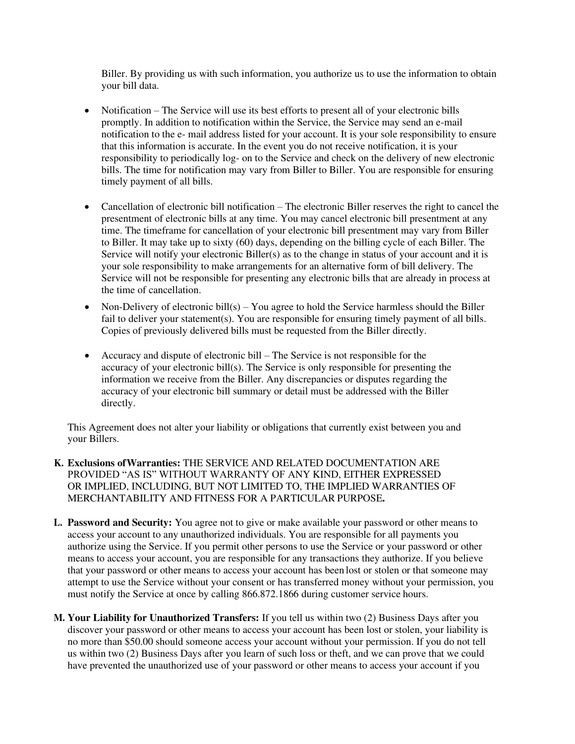Biller. By providing us with such information, you authorize us to use the information to obtain your bill data.

- Notification The Service will use its best efforts to present all of your electronic bills promptly. In addition to notification within the Service, the Service may send an e-mail notification to the e- mail address listed for your account. It is your sole responsibility to ensure that this information is accurate. In the event you do not receive notification, it is your responsibility to periodically log- on to the Service and check on the delivery of new electronic bills. The time for notification may vary from Biller to Biller. You are responsible for ensuring timely payment of all bills.
- Cancellation of electronic bill notification The electronic Biller reserves the right to cancel the presentment of electronic bills at any time. You may cancel electronic bill presentment at any time. The timeframe for cancellation of your electronic bill presentment may vary from Biller to Biller. It may take up to sixty (60) days, depending on the billing cycle of each Biller. The Service will notify your electronic Biller(s) as to the change in status of your account and it is your sole responsibility to make arrangements for an alternative form of bill delivery. The Service will not be responsible for presenting any electronic bills that are already in process at the time of cancellation.
- Non-Delivery of electronic bill(s) You agree to hold the Service harmless should the Biller fail to deliver your statement(s). You are responsible for ensuring timely payment of all bills. Copies of previously delivered bills must be requested from the Biller directly.
- Accuracy and dispute of electronic bill The Service is not responsible for the accuracy of your electronic bill(s). The Service is only responsible for presenting the information we receive from the Biller. Any discrepancies or disputes regarding the accuracy of your electronic bill summary or detail must be addressed with the Biller directly.

This Agreement does not alter your liability or obligations that currently exist between you and your Billers.

- **K. Exclusions of Warranties:** THE SERVICE AND RELATED DOCUMENTATION ARE PROVIDED "AS IS" WITHOUT WARRANTY OF ANY KIND, EITHER EXPRESSED OR IMPLIED, INCLUDING, BUT NOT LIMITED TO, THE IMPLIED WARRANTIES OF MERCHANTABILITY AND FITNESS FOR A PARTICULAR PURPOSE**.**
- **L. Password and Security:** You agree not to give or make available your password or other means to access your account to any unauthorized individuals. You are responsible for all payments you authorize using the Service. If you permit other persons to use the Service or your password or other means to access your account, you are responsible for any transactions they authorize. If you believe that your password or other means to access your account has been lost or stolen or that someone may attempt to use the Service without your consent or has transferred money without your permission, you must notify the Service at once by calling 866.872.1866 during customer service hours.
- **M. Your Liability for Unauthorized Transfers:** If you tell us within two (2) Business Days after you discover your password or other means to access your account has been lost or stolen, your liability is no more than \$50.00 should someone access your account without your permission. If you do not tell us within two (2) Business Days after you learn of such loss or theft, and we can prove that we could have prevented the unauthorized use of your password or other means to access your account if you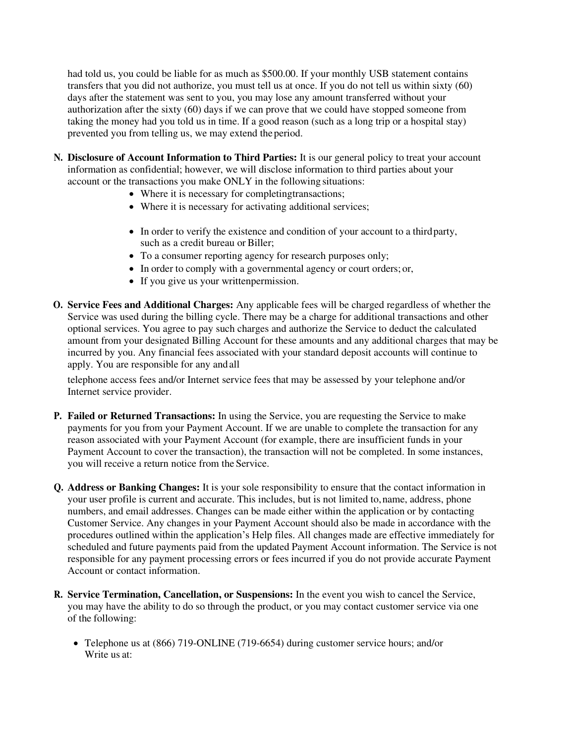had told us, you could be liable for as much as \$500.00. If your monthly USB statement contains transfers that you did not authorize, you must tell us at once. If you do not tell us within sixty (60) days after the statement was sent to you, you may lose any amount transferred without your authorization after the sixty (60) days if we can prove that we could have stopped someone from taking the money had you told us in time. If a good reason (such as a long trip or a hospital stay) prevented you from telling us, we may extend the period.

- **N. Disclosure of Account Information to Third Parties:** It is our general policy to treat your account information as confidential; however, we will disclose information to third parties about your account or the transactions you make ONLY in the following situations:
	- Where it is necessary for completing transactions;
	- Where it is necessary for activating additional services;
	- In order to verify the existence and condition of your account to a third party, such as a credit bureau or Biller;
	- To a consumer reporting agency for research purposes only;
	- In order to comply with a governmental agency or court orders; or,
	- If you give us your written permission.
- **O. Service Fees and Additional Charges:** Any applicable fees will be charged regardless of whether the Service was used during the billing cycle. There may be a charge for additional transactions and other optional services. You agree to pay such charges and authorize the Service to deduct the calculated amount from your designated Billing Account for these amounts and any additional charges that may be incurred by you. Any financial fees associated with your standard deposit accounts will continue to apply. You are responsible for any and all

telephone access fees and/or Internet service fees that may be assessed by your telephone and/or Internet service provider.

- **P. Failed or Returned Transactions:** In using the Service, you are requesting the Service to make payments for you from your Payment Account. If we are unable to complete the transaction for any reason associated with your Payment Account (for example, there are insufficient funds in your Payment Account to cover the transaction), the transaction will not be completed. In some instances, you will receive a return notice from the Service.
- **Q. Address or Banking Changes:** It is your sole responsibility to ensure that the contact information in your user profile is current and accurate. This includes, but is not limited to, name, address, phone numbers, and email addresses. Changes can be made either within the application or by contacting Customer Service. Any changes in your Payment Account should also be made in accordance with the procedures outlined within the application's Help files. All changes made are effective immediately for scheduled and future payments paid from the updated Payment Account information. The Service is not responsible for any payment processing errors or fees incurred if you do not provide accurate Payment Account or contact information.
- **R. Service Termination, Cancellation, or Suspensions:** In the event you wish to cancel the Service, you may have the ability to do so through the product, or you may contact customer service via one of the following:
	- Telephone us at (866) 719-ONLINE (719-6654) during customer service hours; and/or Write us at: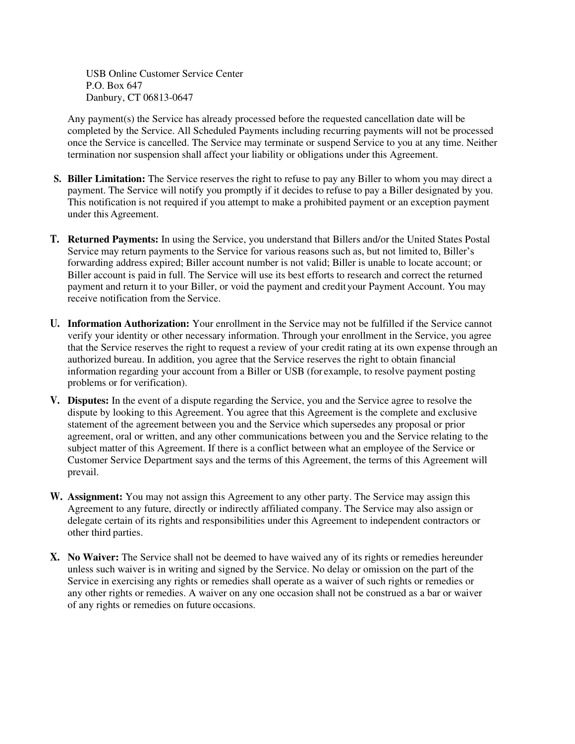USB Online Customer Service Center P.O. Box 647 Danbury, CT 06813-0647

Any payment(s) the Service has already processed before the requested cancellation date will be completed by the Service. All Scheduled Payments including recurring payments will not be processed once the Service is cancelled. The Service may terminate or suspend Service to you at any time. Neither termination nor suspension shall affect your liability or obligations under this Agreement.

- **S. Biller Limitation:** The Service reserves the right to refuse to pay any Biller to whom you may direct a payment. The Service will notify you promptly if it decides to refuse to pay a Biller designated by you. This notification is not required if you attempt to make a prohibited payment or an exception payment under this Agreement.
- **T. Returned Payments:** In using the Service, you understand that Billers and/or the United States Postal Service may return payments to the Service for various reasons such as, but not limited to, Biller's forwarding address expired; Biller account number is not valid; Biller is unable to locate account; or Biller account is paid in full. The Service will use its best efforts to research and correct the returned payment and return it to your Biller, or void the payment and credit your Payment Account. You may receive notification from the Service.
- **U. Information Authorization:** Your enrollment in the Service may not be fulfilled if the Service cannot verify your identity or other necessary information. Through your enrollment in the Service, you agree that the Service reserves the right to request a review of your credit rating at its own expense through an authorized bureau. In addition, you agree that the Service reserves the right to obtain financial information regarding your account from a Biller or USB (for example, to resolve payment posting problems or for verification).
- **V. Disputes:** In the event of a dispute regarding the Service, you and the Service agree to resolve the dispute by looking to this Agreement. You agree that this Agreement is the complete and exclusive statement of the agreement between you and the Service which supersedes any proposal or prior agreement, oral or written, and any other communications between you and the Service relating to the subject matter of this Agreement. If there is a conflict between what an employee of the Service or Customer Service Department says and the terms of this Agreement, the terms of this Agreement will prevail.
- **W. Assignment:** You may not assign this Agreement to any other party. The Service may assign this Agreement to any future, directly or indirectly affiliated company. The Service may also assign or delegate certain of its rights and responsibilities under this Agreement to independent contractors or other third parties.
- **X. No Waiver:** The Service shall not be deemed to have waived any of its rights or remedies hereunder unless such waiver is in writing and signed by the Service. No delay or omission on the part of the Service in exercising any rights or remedies shall operate as a waiver of such rights or remedies or any other rights or remedies. A waiver on any one occasion shall not be construed as a bar or waiver of any rights or remedies on future occasions.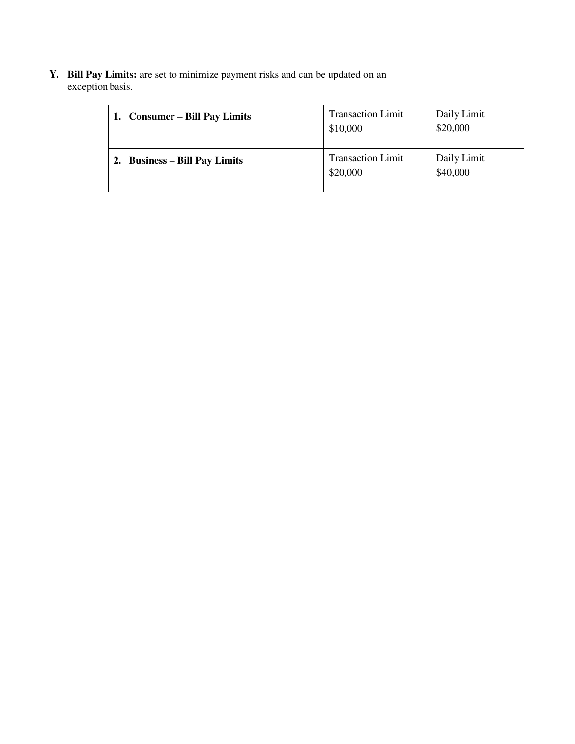**Y. Bill Pay Limits:** are set to minimize payment risks and can be updated on an exception basis.

| <b>Consumer – Bill Pay Limits</b> | <b>Transaction Limit</b><br>\$10,000 | Daily Limit<br>\$20,000 |
|-----------------------------------|--------------------------------------|-------------------------|
| <b>Business – Bill Pay Limits</b> | <b>Transaction Limit</b><br>\$20,000 | Daily Limit<br>\$40,000 |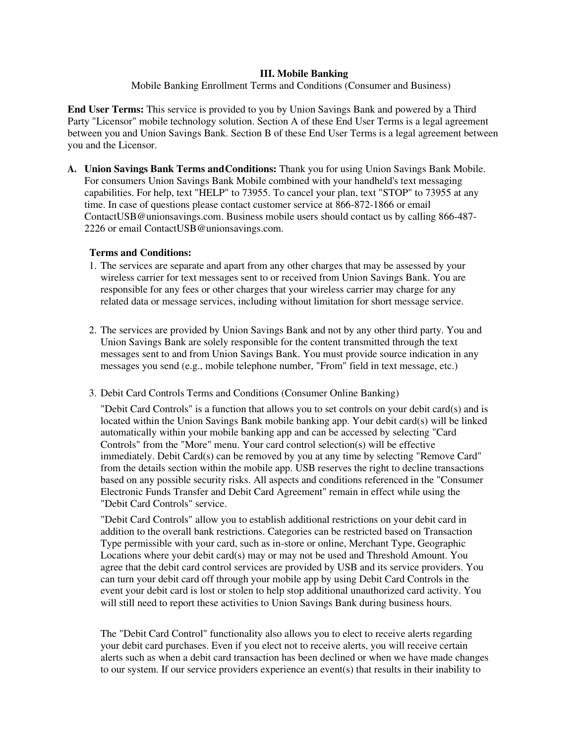### **III. Mobile Banking**

### Mobile Banking Enrollment Terms and Conditions (Consumer and Business)

**End User Terms:** This service is provided to you by Union Savings Bank and powered by a Third Party "Licensor" mobile technology solution. Section A of these End User Terms is a legal agreement between you and Union Savings Bank. Section B of these End User Terms is a legal agreement between you and the Licensor.

**A. Union Savings Bank Terms and Conditions:** Thank you for using Union Savings Bank Mobile. For consumers Union Savings Bank Mobile combined with your handheld's text messaging capabilities. For help, text "HELP" to 73955. To cancel your plan, text "STOP" to 73955 at any time. In case of questions please contact customer service at 866-872-1866 or [email](mailto:ContactUSB@unionsavings.com)  [ContactUSB@unionsavings.com.](mailto:ContactUSB@unionsavings.com) Business mobile users should contact us by calling 866-487- 2226 or email [ContactUSB@unionsavings.com.](mailto:ContactUSB@unionsavings.com) 

# **Terms and Conditions:**

- 1. The services are separate and apart from any other charges that may be assessed by your wireless carrier for text messages sent to or received from Union Savings Bank. You are responsible for any fees or other charges that your wireless carrier may charge for any related data or message services, including without limitation for short message service.
- 2. The services are provided by Union Savings Bank and not by any other third party. You and Union Savings Bank are solely responsible for the content transmitted through the text messages sent to and from Union Savings Bank. You must provide source indication in any messages you send (e.g., mobile telephone number, "From" field in text message, etc.)
- 3. Debit Card Controls Terms and Conditions (Consumer Online Banking)

"Debit Card Controls" is a function that allows you to set controls on your debit card(s) and is located within the Union Savings Bank mobile banking app. Your debit card(s) will be linked automatically within your mobile banking app and can be accessed by selecting "Card Controls" from the "More" menu. Your card control selection(s) will be effective immediately. Debit Card(s) can be removed by you at any time by selecting "Remove Card" from the details section within the mobile app. USB reserves the right to decline transactions based on any possible security risks. All aspects and conditions referenced in the "Consumer Electronic Funds Transfer and Debit Card Agreement" remain in effect while using the "Debit Card Controls" service.

"Debit Card Controls" allow you to establish additional restrictions on your debit card in addition to the overall bank restrictions. Categories can be restricted based on Transaction Type permissible with your card, such as in-store or online, Merchant Type, Geographic Locations where your debit card(s) may or may not be used and Threshold Amount. You agree that the debit card control services are provided by USB and its service providers. You can turn your debit card off through your mobile app by using Debit Card Controls in the event your debit card is lost or stolen to help stop additional unauthorized card activity. You will still need to report these activities to Union Savings Bank during business hours.

The "Debit Card Control" functionality also allows you to elect to receive alerts regarding your debit card purchases. Even if you elect not to receive alerts, you will receive certain alerts such as when a debit card transaction has been declined or when we have made changes to our system. If our service providers experience an event(s) that results in their inability to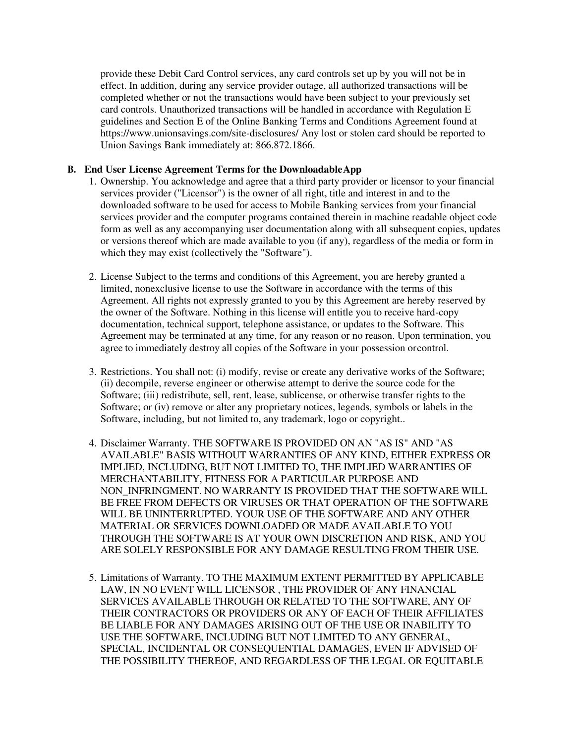provide these Debit Card Control services, any card controls set up by you will not be in effect. In addition, during any service provider outage, all authorized transactions will be completed whether or not the transactions would have been subject to your previously set card controls. Unauthorized transactions will be handled in accordance with Regulation E guidelines and Section E of the Online Banking Terms and Conditions Agreement found at https://www.unionsavings.com/site-disclosures/ Any lost or stolen card should be reported to Union Savings Bank immediately at: 866.872.1866.

### **B. End User License Agreement Terms for the Downloadable App**

- 1. Ownership. You acknowledge and agree that a third party provider or licensor to your financial services provider ("Licensor") is the owner of all right, title and interest in and to the downloaded software to be used for access to Mobile Banking services from your financial services provider and the computer programs contained therein in machine readable object code form as well as any accompanying user documentation along with all subsequent copies, updates or versions thereof which are made available to you (if any), regardless of the media or form in which they may exist (collectively the "Software").
- 2. License Subject to the terms and conditions of this Agreement, you are hereby granted a limited, nonexclusive license to use the Software in accordance with the terms of this Agreement. All rights not expressly granted to you by this Agreement are hereby reserved by the owner of the Software. Nothing in this license will entitle you to receive hard-copy documentation, technical support, telephone assistance, or updates to the Software. This Agreement may be terminated at any time, for any reason or no reason. Upon termination, you agree to immediately destroy all copies of the Software in your possession or control.
- 3. Restrictions. You shall not: (i) modify, revise or create any derivative works of the Software; (ii) decompile, reverse engineer or otherwise attempt to derive the source code for the Software; (iii) redistribute, sell, rent, lease, sublicense, or otherwise transfer rights to the Software; or (iv) remove or alter any proprietary notices, legends, symbols or labels in the Software, including, but not limited to, any trademark, logo or copyright..
- 4. Disclaimer Warranty. THE SOFTWARE IS PROVIDED ON AN "AS IS" AND "AS AVAILABLE" BASIS WITHOUT WARRANTIES OF ANY KIND, EITHER EXPRESS OR IMPLIED, INCLUDING, BUT NOT LIMITED TO, THE IMPLIED WARRANTIES OF MERCHANTABILITY, FITNESS FOR A PARTICULAR PURPOSE AND NON\_INFRINGMENT. NO WARRANTY IS PROVIDED THAT THE SOFTWARE WILL BE FREE FROM DEFECTS OR VIRUSES OR THAT OPERATION OF THE SOFTWARE WILL BE UNINTERRUPTED. YOUR USE OF THE SOFTWARE AND ANY OTHER MATERIAL OR SERVICES DOWNLOADED OR MADE AVAILABLE TO YOU THROUGH THE SOFTWARE IS AT YOUR OWN DISCRETION AND RISK, AND YOU ARE SOLELY RESPONSIBLE FOR ANY DAMAGE RESULTING FROM THEIR USE.
- 5. Limitations of Warranty. TO THE MAXIMUM EXTENT PERMITTED BY APPLICABLE LAW, IN NO EVENT WILL LICENSOR , THE PROVIDER OF ANY FINANCIAL SERVICES AVAILABLE THROUGH OR RELATED TO THE SOFTWARE, ANY OF THEIR CONTRACTORS OR PROVIDERS OR ANY OF EACH OF THEIR AFFILIATES BE LIABLE FOR ANY DAMAGES ARISING OUT OF THE USE OR INABILITY TO USE THE SOFTWARE, INCLUDING BUT NOT LIMITED TO ANY GENERAL, SPECIAL, INCIDENTAL OR CONSEQUENTIAL DAMAGES, EVEN IF ADVISED OF THE POSSIBILITY THEREOF, AND REGARDLESS OF THE LEGAL OR EQUITABLE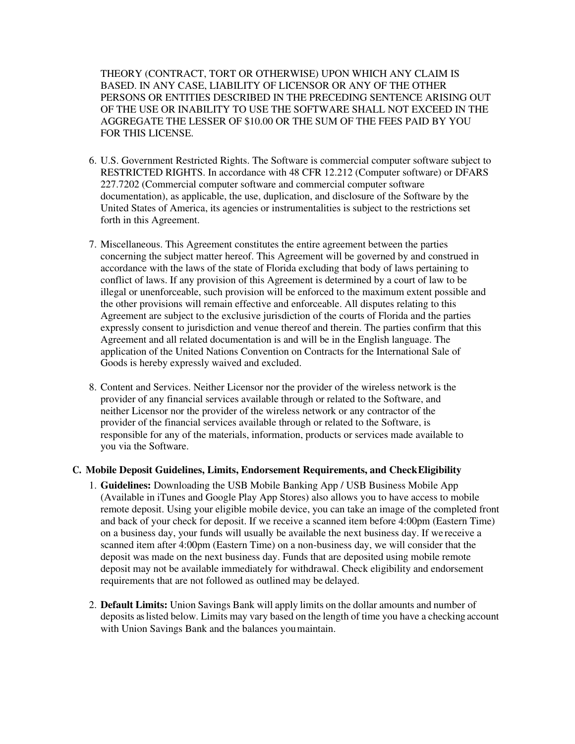THEORY (CONTRACT, TORT OR OTHERWISE) UPON WHICH ANY CLAIM IS BASED. IN ANY CASE, LIABILITY OF LICENSOR OR ANY OF THE OTHER PERSONS OR ENTITIES DESCRIBED IN THE PRECEDING SENTENCE ARISING OUT OF THE USE OR INABILITY TO USE THE SOFTWARE SHALL NOT EXCEED IN THE AGGREGATE THE LESSER OF \$10.00 OR THE SUM OF THE FEES PAID BY YOU FOR THIS LICENSE.

- 6. U.S. Government Restricted Rights. The Software is commercial computer software subject to RESTRICTED RIGHTS. In accordance with 48 CFR 12.212 (Computer software) or DFARS 227.7202 (Commercial computer software and commercial computer software documentation), as applicable, the use, duplication, and disclosure of the Software by the United States of America, its agencies or instrumentalities is subject to the restrictions set forth in this Agreement.
- 7. Miscellaneous. This Agreement constitutes the entire agreement between the parties concerning the subject matter hereof. This Agreement will be governed by and construed in accordance with the laws of the state of Florida excluding that body of laws pertaining to conflict of laws. If any provision of this Agreement is determined by a court of law to be illegal or unenforceable, such provision will be enforced to the maximum extent possible and the other provisions will remain effective and enforceable. All disputes relating to this Agreement are subject to the exclusive jurisdiction of the courts of Florida and the parties expressly consent to jurisdiction and venue thereof and therein. The parties confirm that this Agreement and all related documentation is and will be in the English language. The application of the United Nations Convention on Contracts for the International Sale of Goods is hereby expressly waived and excluded.
- 8. Content and Services. Neither Licensor nor the provider of the wireless network is the provider of any financial services available through or related to the Software, and neither Licensor nor the provider of the wireless network or any contractor of the provider of the financial services available through or related to the Software, is responsible for any of the materials, information, products or services made available to you via the Software.

# **C. Mobile Deposit Guidelines, Limits, Endorsement Requirements, and Check Eligibility**

- 1. **Guidelines:** Downloading the USB Mobile Banking App / USB Business Mobile App (Available in iTunes and Google Play App Stores) also allows you to have access to mobile remote deposit. Using your eligible mobile device, you can take an image of the completed front and back of your check for deposit. If we receive a scanned item before 4:00pm (Eastern Time) on a business day, your funds will usually be available the next business day. If we receive a scanned item after 4:00pm (Eastern Time) on a non-business day, we will consider that the deposit was made on the next business day. Funds that are deposited using mobile remote deposit may not be available immediately for withdrawal. Check eligibility and endorsement requirements that are not followed as outlined may be delayed.
- 2. **Default Limits:** Union Savings Bank will apply limits on the dollar amounts and number of deposits as listed below. Limits may vary based on the length of time you have a checking account with Union Savings Bank and the balances you maintain.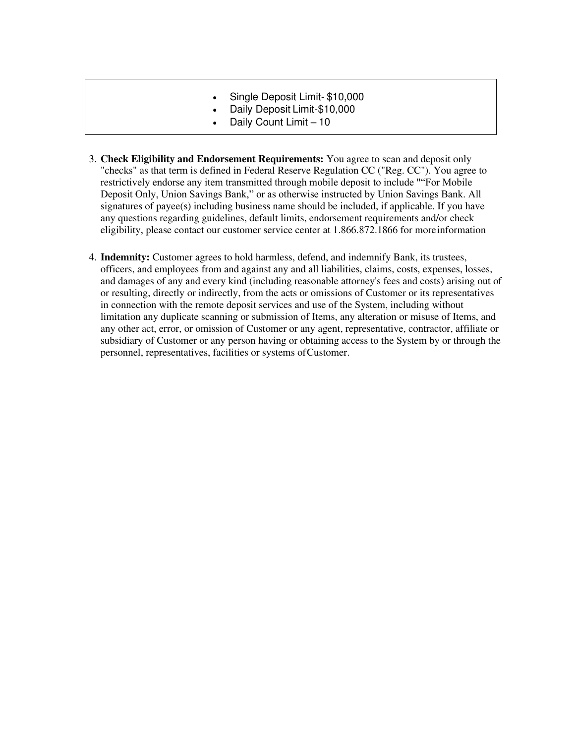- Single Deposit Limit- \$10,000
- Daily Deposit Limit-\$10,000
- Daily Count Limit 10
- 3. **Check Eligibility and Endorsement Requirements:** You agree to scan and deposit only "checks" as that term is defined in Federal Reserve Regulation CC ("Reg. CC"). You agree to restrictively endorse any item transmitted through mobile deposit to include ""For Mobile Deposit Only, Union Savings Bank," or as otherwise instructed by Union Savings Bank. All signatures of payee(s) including business name should be included, if applicable. If you have any questions regarding guidelines, default limits, endorsement requirements and/or check eligibility, please contact our customer service center at 1.866.872.1866 for more information
- 4. **Indemnity:** Customer agrees to hold harmless, defend, and indemnify Bank, its trustees, officers, and employees from and against any and all liabilities, claims, costs, expenses, losses, and damages of any and every kind (including reasonable attorney's fees and costs) arising out of or resulting, directly or indirectly, from the acts or omissions of Customer or its representatives in connection with the remote deposit services and use of the System, including without limitation any duplicate scanning or submission of Items, any alteration or misuse of Items, and any other act, error, or omission of Customer or any agent, representative, contractor, affiliate or subsidiary of Customer or any person having or obtaining access to the System by or through the personnel, representatives, facilities or systems of Customer.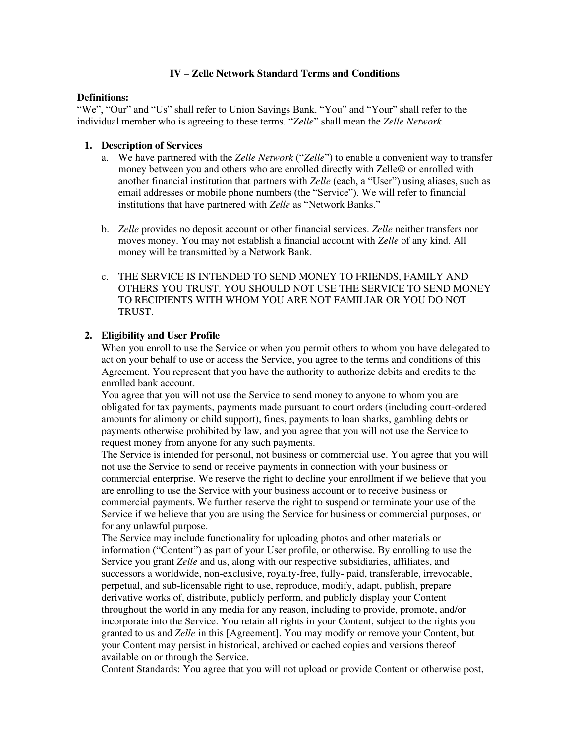### **IV – Zelle Network Standard Terms and Conditions**

#### **Definitions:**

"We", "Our" and "Us" shall refer to Union Savings Bank. "You" and "Your" shall refer to the individual member who is agreeing to these terms. "*Zelle*" shall mean the *Zelle Network*.

### **1. Description of Services**

- a. We have partnered with the *Zelle Network* ("*Zelle*") to enable a convenient way to transfer money between you and others who are enrolled directly with Zelle® or enrolled with another financial institution that partners with *Zelle* (each, a "User") using aliases, such as email addresses or mobile phone numbers (the "Service"). We will refer to financial institutions that have partnered with *Zelle* as "Network Banks."
- b. *Zelle* provides no deposit account or other financial services. *Zelle* neither transfers nor moves money. You may not establish a financial account with *Zelle* of any kind. All money will be transmitted by a Network Bank.
- c. THE SERVICE IS INTENDED TO SEND MONEY TO FRIENDS, FAMILY AND OTHERS YOU TRUST. YOU SHOULD NOT USE THE SERVICE TO SEND MONEY TO RECIPIENTS WITH WHOM YOU ARE NOT FAMILIAR OR YOU DO NOT TRUST.

# **2. Eligibility and User Profile**

When you enroll to use the Service or when you permit others to whom you have delegated to act on your behalf to use or access the Service, you agree to the terms and conditions of this Agreement. You represent that you have the authority to authorize debits and credits to the enrolled bank account.

You agree that you will not use the Service to send money to anyone to whom you are obligated for tax payments, payments made pursuant to court orders (including court-ordered amounts for alimony or child support), fines, payments to loan sharks, gambling debts or payments otherwise prohibited by law, and you agree that you will not use the Service to request money from anyone for any such payments.

The Service is intended for personal, not business or commercial use. You agree that you will not use the Service to send or receive payments in connection with your business or commercial enterprise. We reserve the right to decline your enrollment if we believe that you are enrolling to use the Service with your business account or to receive business or commercial payments. We further reserve the right to suspend or terminate your use of the Service if we believe that you are using the Service for business or commercial purposes, or for any unlawful purpose.

The Service may include functionality for uploading photos and other materials or information ("Content") as part of your User profile, or otherwise. By enrolling to use the Service you grant *Zelle* and us, along with our respective subsidiaries, affiliates, and successors a worldwide, non-exclusive, royalty-free, fully- paid, transferable, irrevocable, perpetual, and sub-licensable right to use, reproduce, modify, adapt, publish, prepare derivative works of, distribute, publicly perform, and publicly display your Content throughout the world in any media for any reason, including to provide, promote, and/or incorporate into the Service. You retain all rights in your Content, subject to the rights you granted to us and *Zelle* in this [Agreement]. You may modify or remove your Content, but your Content may persist in historical, archived or cached copies and versions thereof available on or through the Service.

Content Standards: You agree that you will not upload or provide Content or otherwise post,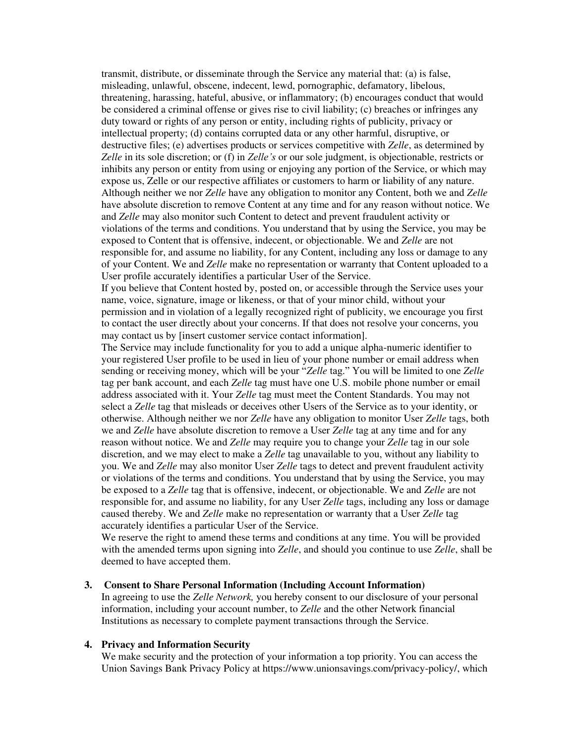transmit, distribute, or disseminate through the Service any material that: (a) is false, misleading, unlawful, obscene, indecent, lewd, pornographic, defamatory, libelous, threatening, harassing, hateful, abusive, or inflammatory; (b) encourages conduct that would be considered a criminal offense or gives rise to civil liability; (c) breaches or infringes any duty toward or rights of any person or entity, including rights of publicity, privacy or intellectual property; (d) contains corrupted data or any other harmful, disruptive, or destructive files; (e) advertises products or services competitive with *Zelle*, as determined by *Zelle* in its sole discretion; or (f) in *Zelle's* or our sole judgment, is objectionable, restricts or inhibits any person or entity from using or enjoying any portion of the Service, or which may expose us, Zelle or our respective affiliates or customers to harm or liability of any nature. Although neither we nor *Zelle* have any obligation to monitor any Content, both we and *Zelle*  have absolute discretion to remove Content at any time and for any reason without notice. We and *Zelle* may also monitor such Content to detect and prevent fraudulent activity or violations of the terms and conditions. You understand that by using the Service, you may be exposed to Content that is offensive, indecent, or objectionable. We and *Zelle* are not responsible for, and assume no liability, for any Content, including any loss or damage to any of your Content. We and *Zelle* make no representation or warranty that Content uploaded to a User profile accurately identifies a particular User of the Service.

If you believe that Content hosted by, posted on, or accessible through the Service uses your name, voice, signature, image or likeness, or that of your minor child, without your permission and in violation of a legally recognized right of publicity, we encourage you first to contact the user directly about your concerns. If that does not resolve your concerns, you may contact us by [insert customer service contact information].

The Service may include functionality for you to add a unique alpha-numeric identifier to your registered User profile to be used in lieu of your phone number or email address when sending or receiving money, which will be your "*Zelle* tag." You will be limited to one *Zelle*  tag per bank account, and each *Zelle* tag must have one U.S. mobile phone number or email address associated with it. Your *Zelle* tag must meet the Content Standards. You may not select a *Zelle* tag that misleads or deceives other Users of the Service as to your identity, or otherwise. Although neither we nor *Zelle* have any obligation to monitor User *Zelle* tags, both we and *Zelle* have absolute discretion to remove a User *Zelle* tag at any time and for any reason without notice. We and *Zelle* may require you to change your *Zelle* tag in our sole discretion, and we may elect to make a *Zelle* tag unavailable to you, without any liability to you. We and *Zelle* may also monitor User *Zelle* tags to detect and prevent fraudulent activity or violations of the terms and conditions. You understand that by using the Service, you may be exposed to a *Zelle* tag that is offensive, indecent, or objectionable. We and *Zelle* are not responsible for, and assume no liability, for any User *Zelle* tags, including any loss or damage caused thereby. We and *Zelle* make no representation or warranty that a User *Zelle* tag accurately identifies a particular User of the Service.

We reserve the right to amend these terms and conditions at any time. You will be provided with the amended terms upon signing into *Zelle*, and should you continue to use *Zelle*, shall be deemed to have accepted them.

#### **3. Consent to Share Personal Information (Including Account Information)**

In agreeing to use the *Zelle Network,* you hereby consent to our disclosure of your personal information, including your account number, to *Zelle* and the other Network financial Institutions as necessary to complete payment transactions through the Service.

#### **4. Privacy and Information Security**

We make security and the protection of your information a top priority. You can access the Union Savings Bank Privacy Policy at https://www.unionsavings.com/privacy-policy/, which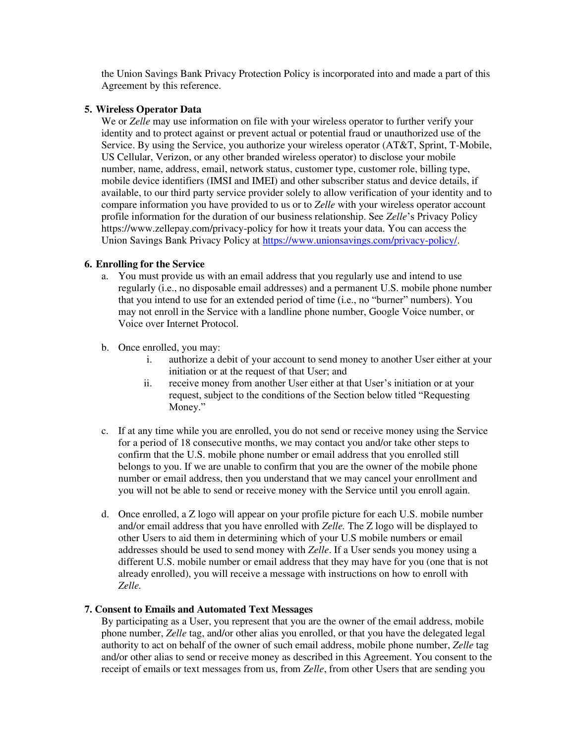the Union Savings Bank Privacy Protection Policy is incorporated into and made a part of this Agreement by this reference.

### **5. Wireless Operator Data**

We or *Zelle* may use information on file with your wireless operator to further verify your identity and to protect against or prevent actual or potential fraud or unauthorized use of the Service. By using the Service, you authorize your wireless operator (AT&T, Sprint, T-Mobile, US Cellular, Verizon, or any other branded wireless operator) to disclose your mobile number, name, address, email, network status, customer type, customer role, billing type, mobile device identifiers (IMSI and IMEI) and other subscriber status and device details, if available, to our third party service provider solely to allow verification of your identity and to compare information you have provided to us or to *Zelle* with your wireless operator account profile information for the duration of our business relationship. See *Zelle*'s Privacy Policy https://www.zellepay.com/privacy-policy for how it treats your data. You can access the Union Savings Bank Privacy Policy a[t https://www.unionsavings.com/privacy-policy/.](https://www.unionsavings.com/privacy-policy/)

### **6. Enrolling for the Service**

- a. You must provide us with an email address that you regularly use and intend to use regularly (i.e., no disposable email addresses) and a permanent U.S. mobile phone number that you intend to use for an extended period of time (i.e., no "burner" numbers). You may not enroll in the Service with a landline phone number, Google Voice number, or Voice over Internet Protocol.
- b. Once enrolled, you may:
	- i. authorize a debit of your account to send money to another User either at your initiation or at the request of that User; and
	- ii. receive money from another User either at that User's initiation or at your request, subject to the conditions of the Section below titled "Requesting Money."
- c. If at any time while you are enrolled, you do not send or receive money using the Service for a period of 18 consecutive months, we may contact you and/or take other steps to confirm that the U.S. mobile phone number or email address that you enrolled still belongs to you. If we are unable to confirm that you are the owner of the mobile phone number or email address, then you understand that we may cancel your enrollment and you will not be able to send or receive money with the Service until you enroll again.
- d. Once enrolled, a Z logo will appear on your profile picture for each U.S. mobile number and/or email address that you have enrolled with *Zelle.* The Z logo will be displayed to other Users to aid them in determining which of your U.S mobile numbers or email addresses should be used to send money with *Zelle*. If a User sends you money using a different U.S. mobile number or email address that they may have for you (one that is not already enrolled), you will receive a message with instructions on how to enroll with *Zelle.*

# **7. Consent to Emails and Automated Text Messages**

By participating as a User, you represent that you are the owner of the email address, mobile phone number, *Zelle* tag, and/or other alias you enrolled, or that you have the delegated legal authority to act on behalf of the owner of such email address, mobile phone number, *Zelle* tag and/or other alias to send or receive money as described in this Agreement. You consent to the receipt of emails or text messages from us, from *Zelle*, from other Users that are sending you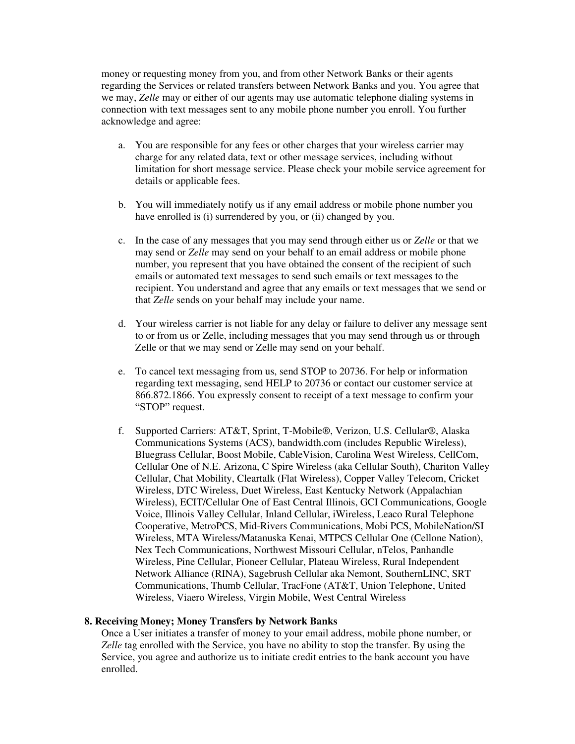money or requesting money from you, and from other Network Banks or their agents regarding the Services or related transfers between Network Banks and you. You agree that we may, *Zelle* may or either of our agents may use automatic telephone dialing systems in connection with text messages sent to any mobile phone number you enroll. You further acknowledge and agree:

- a. You are responsible for any fees or other charges that your wireless carrier may charge for any related data, text or other message services, including without limitation for short message service. Please check your mobile service agreement for details or applicable fees.
- b. You will immediately notify us if any email address or mobile phone number you have enrolled is (i) surrendered by you, or (ii) changed by you.
- c. In the case of any messages that you may send through either us or *Zelle* or that we may send or *Zelle* may send on your behalf to an email address or mobile phone number, you represent that you have obtained the consent of the recipient of such emails or automated text messages to send such emails or text messages to the recipient. You understand and agree that any emails or text messages that we send or that *Zelle* sends on your behalf may include your name.
- d. Your wireless carrier is not liable for any delay or failure to deliver any message sent to or from us or Zelle, including messages that you may send through us or through Zelle or that we may send or Zelle may send on your behalf.
- e. To cancel text messaging from us, send STOP to 20736. For help or information regarding text messaging, send HELP to 20736 or contact our customer service at 866.872.1866. You expressly consent to receipt of a text message to confirm your "STOP" request.
- f. Supported Carriers: AT&T, Sprint, T-Mobile®, Verizon, U.S. Cellular®, Alaska Communications Systems (ACS), bandwidth.com (includes Republic Wireless), Bluegrass Cellular, Boost Mobile, CableVision, Carolina West Wireless, CellCom, Cellular One of N.E. Arizona, C Spire Wireless (aka Cellular South), Chariton Valley Cellular, Chat Mobility, Cleartalk (Flat Wireless), Copper Valley Telecom, Cricket Wireless, DTC Wireless, Duet Wireless, East Kentucky Network (Appalachian Wireless), ECIT/Cellular One of East Central Illinois, GCI Communications, Google Voice, Illinois Valley Cellular, Inland Cellular, iWireless, Leaco Rural Telephone Cooperative, MetroPCS, Mid-Rivers Communications, Mobi PCS, MobileNation/SI Wireless, MTA Wireless/Matanuska Kenai, MTPCS Cellular One (Cellone Nation), Nex Tech Communications, Northwest Missouri Cellular, nTelos, Panhandle Wireless, Pine Cellular, Pioneer Cellular, Plateau Wireless, Rural Independent Network Alliance (RINA), Sagebrush Cellular aka Nemont, SouthernLINC, SRT Communications, Thumb Cellular, TracFone (AT&T, Union Telephone, United Wireless, Viaero Wireless, Virgin Mobile, West Central Wireless

#### **8. Receiving Money; Money Transfers by Network Banks**

Once a User initiates a transfer of money to your email address, mobile phone number, or *Zelle* tag enrolled with the Service, you have no ability to stop the transfer. By using the Service, you agree and authorize us to initiate credit entries to the bank account you have enrolled.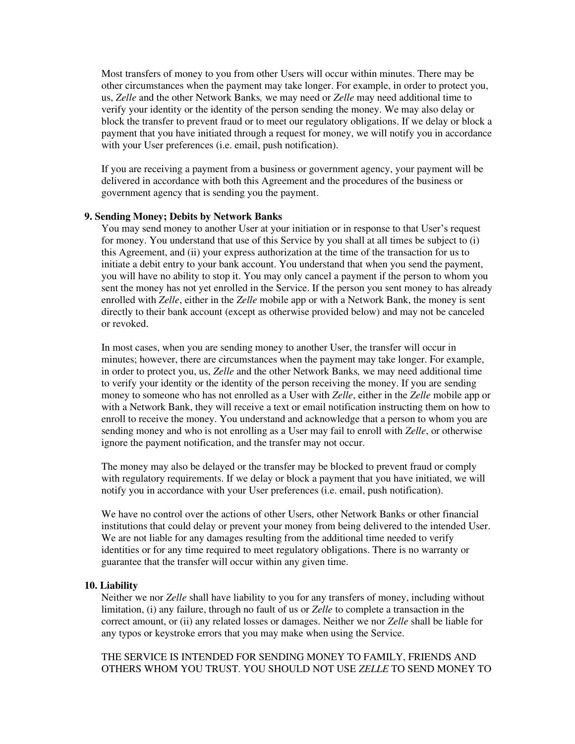Most transfers of money to you from other Users will occur within minutes. There may be other circumstances when the payment may take longer. For example, in order to protect you, us, *Zelle* and the other Network Banks*,* we may need or *Zelle* may need additional time to verify your identity or the identity of the person sending the money. We may also delay or block the transfer to prevent fraud or to meet our regulatory obligations. If we delay or block a payment that you have initiated through a request for money, we will notify you in accordance with your User preferences (i.e. email, push notification).

If you are receiving a payment from a business or government agency, your payment will be delivered in accordance with both this Agreement and the procedures of the business or government agency that is sending you the payment.

### **9. Sending Money; Debits by Network Banks**

You may send money to another User at your initiation or in response to that User's request for money. You understand that use of this Service by you shall at all times be subject to (i) this Agreement, and (ii) your express authorization at the time of the transaction for us to initiate a debit entry to your bank account. You understand that when you send the payment, you will have no ability to stop it. You may only cancel a payment if the person to whom you sent the money has not yet enrolled in the Service. If the person you sent money to has already enrolled with *Zelle*, either in the *Zelle* mobile app or with a Network Bank, the money is sent directly to their bank account (except as otherwise provided below) and may not be canceled or revoked.

In most cases, when you are sending money to another User, the transfer will occur in minutes; however, there are circumstances when the payment may take longer. For example, in order to protect you, us, *Zelle* and the other Network Banks*,* we may need additional time to verify your identity or the identity of the person receiving the money. If you are sending money to someone who has not enrolled as a User with *Zelle*, either in the *Zelle* mobile app or with a Network Bank, they will receive a text or email notification instructing them on how to enroll to receive the money. You understand and acknowledge that a person to whom you are sending money and who is not enrolling as a User may fail to enroll with *Zelle*, or otherwise ignore the payment notification, and the transfer may not occur.

The money may also be delayed or the transfer may be blocked to prevent fraud or comply with regulatory requirements. If we delay or block a payment that you have initiated, we will notify you in accordance with your User preferences (i.e. email, push notification).

We have no control over the actions of other Users, other Network Banks or other financial institutions that could delay or prevent your money from being delivered to the intended User. We are not liable for any damages resulting from the additional time needed to verify identities or for any time required to meet regulatory obligations. There is no warranty or guarantee that the transfer will occur within any given time.

#### **10. Liability**

Neither we nor *Zelle* shall have liability to you for any transfers of money, including without limitation, (i) any failure, through no fault of us or *Zelle* to complete a transaction in the correct amount, or (ii) any related losses or damages. Neither we nor *Zelle* shall be liable for any typos or keystroke errors that you may make when using the Service.

THE SERVICE IS INTENDED FOR SENDING MONEY TO FAMILY, FRIENDS AND OTHERS WHOM YOU TRUST. YOU SHOULD NOT USE *ZELLE* TO SEND MONEY TO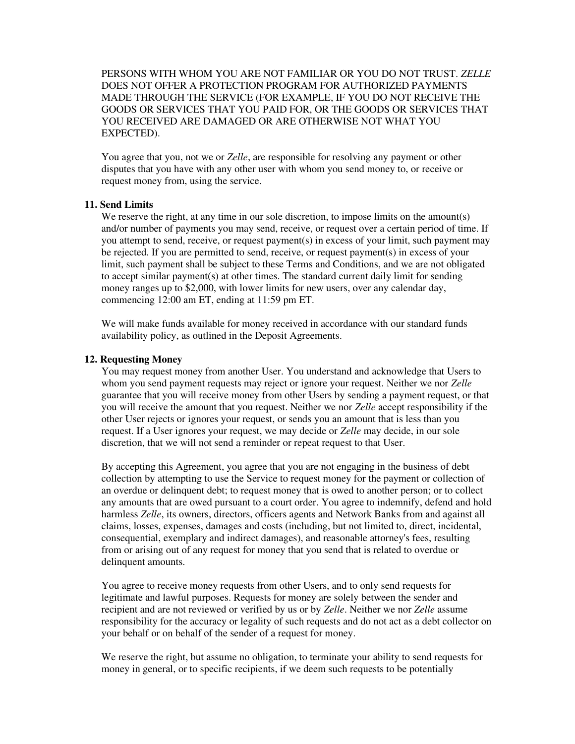PERSONS WITH WHOM YOU ARE NOT FAMILIAR OR YOU DO NOT TRUST. *ZELLE*  DOES NOT OFFER A PROTECTION PROGRAM FOR AUTHORIZED PAYMENTS MADE THROUGH THE SERVICE (FOR EXAMPLE, IF YOU DO NOT RECEIVE THE GOODS OR SERVICES THAT YOU PAID FOR, OR THE GOODS OR SERVICES THAT YOU RECEIVED ARE DAMAGED OR ARE OTHERWISE NOT WHAT YOU EXPECTED).

You agree that you, not we or *Zelle*, are responsible for resolving any payment or other disputes that you have with any other user with whom you send money to, or receive or request money from, using the service.

#### **11. Send Limits**

We reserve the right, at any time in our sole discretion, to impose limits on the amount(s) and/or number of payments you may send, receive, or request over a certain period of time. If you attempt to send, receive, or request payment(s) in excess of your limit, such payment may be rejected. If you are permitted to send, receive, or request payment(s) in excess of your limit, such payment shall be subject to these Terms and Conditions, and we are not obligated to accept similar payment(s) at other times. The standard current daily limit for sending money ranges up to \$2,000, with lower limits for new users, over any calendar day, commencing 12:00 am ET, ending at 11:59 pm ET.

We will make funds available for money received in accordance with our standard funds availability policy, as outlined in the Deposit Agreements.

#### **12. Requesting Money**

You may request money from another User. You understand and acknowledge that Users to whom you send payment requests may reject or ignore your request. Neither we nor *Zelle*  guarantee that you will receive money from other Users by sending a payment request, or that you will receive the amount that you request. Neither we nor *Zelle* accept responsibility if the other User rejects or ignores your request, or sends you an amount that is less than you request. If a User ignores your request, we may decide or *Zelle* may decide, in our sole discretion, that we will not send a reminder or repeat request to that User.

By accepting this Agreement, you agree that you are not engaging in the business of debt collection by attempting to use the Service to request money for the payment or collection of an overdue or delinquent debt; to request money that is owed to another person; or to collect any amounts that are owed pursuant to a court order. You agree to indemnify, defend and hold harmless *Zelle*, its owners, directors, officers agents and Network Banks from and against all claims, losses, expenses, damages and costs (including, but not limited to, direct, incidental, consequential, exemplary and indirect damages), and reasonable attorney's fees, resulting from or arising out of any request for money that you send that is related to overdue or delinquent amounts.

You agree to receive money requests from other Users, and to only send requests for legitimate and lawful purposes. Requests for money are solely between the sender and recipient and are not reviewed or verified by us or by *Zelle*. Neither we nor *Zelle* assume responsibility for the accuracy or legality of such requests and do not act as a debt collector on your behalf or on behalf of the sender of a request for money.

We reserve the right, but assume no obligation, to terminate your ability to send requests for money in general, or to specific recipients, if we deem such requests to be potentially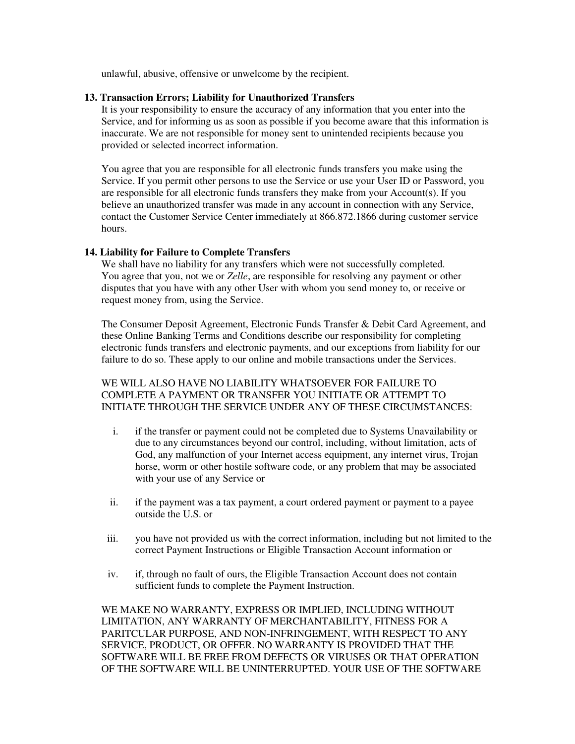unlawful, abusive, offensive or unwelcome by the recipient.

# **13. Transaction Errors; Liability for Unauthorized Transfers**

It is your responsibility to ensure the accuracy of any information that you enter into the Service, and for informing us as soon as possible if you become aware that this information is inaccurate. We are not responsible for money sent to unintended recipients because you provided or selected incorrect information.

You agree that you are responsible for all electronic funds transfers you make using the Service. If you permit other persons to use the Service or use your User ID or Password, you are responsible for all electronic funds transfers they make from your Account(s). If you believe an unauthorized transfer was made in any account in connection with any Service, contact the Customer Service Center immediately at 866.872.1866 during customer service hours.

# **14. Liability for Failure to Complete Transfers**

We shall have no liability for any transfers which were not successfully completed. You agree that you, not we or *Zelle*, are responsible for resolving any payment or other disputes that you have with any other User with whom you send money to, or receive or request money from, using the Service.

The Consumer Deposit Agreement, Electronic Funds Transfer & Debit Card Agreement, and these Online Banking Terms and Conditions describe our responsibility for completing electronic funds transfers and electronic payments, and our exceptions from liability for our failure to do so. These apply to our online and mobile transactions under the Services.

# WE WILL ALSO HAVE NO LIABILITY WHATSOEVER FOR FAILURE TO COMPLETE A PAYMENT OR TRANSFER YOU INITIATE OR ATTEMPT TO INITIATE THROUGH THE SERVICE UNDER ANY OF THESE CIRCUMSTANCES:

- i. if the transfer or payment could not be completed due to Systems Unavailability or due to any circumstances beyond our control, including, without limitation, acts of God, any malfunction of your Internet access equipment, any internet virus, Trojan horse, worm or other hostile software code, or any problem that may be associated with your use of any Service or
- ii. if the payment was a tax payment, a court ordered payment or payment to a payee outside the U.S. or
- iii. you have not provided us with the correct information, including but not limited to the correct Payment Instructions or Eligible Transaction Account information or
- iv. if, through no fault of ours, the Eligible Transaction Account does not contain sufficient funds to complete the Payment Instruction.

WE MAKE NO WARRANTY, EXPRESS OR IMPLIED, INCLUDING WITHOUT LIMITATION, ANY WARRANTY OF MERCHANTABILITY, FITNESS FOR A PARITCULAR PURPOSE, AND NON-INFRINGEMENT, WITH RESPECT TO ANY SERVICE, PRODUCT, OR OFFER. NO WARRANTY IS PROVIDED THAT THE SOFTWARE WILL BE FREE FROM DEFECTS OR VIRUSES OR THAT OPERATION OF THE SOFTWARE WILL BE UNINTERRUPTED. YOUR USE OF THE SOFTWARE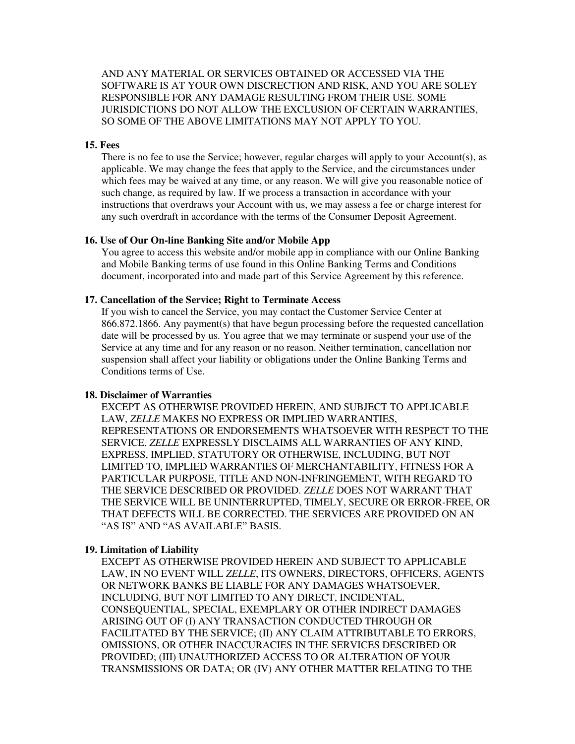AND ANY MATERIAL OR SERVICES OBTAINED OR ACCESSED VIA THE SOFTWARE IS AT YOUR OWN DISCRECTION AND RISK, AND YOU ARE SOLEY RESPONSIBLE FOR ANY DAMAGE RESULTING FROM THEIR USE. SOME JURISDICTIONS DO NOT ALLOW THE EXCLUSION OF CERTAIN WARRANTIES, SO SOME OF THE ABOVE LIMITATIONS MAY NOT APPLY TO YOU.

### **15. Fees**

There is no fee to use the Service; however, regular charges will apply to your  $Account(s)$ , as applicable. We may change the fees that apply to the Service, and the circumstances under which fees may be waived at any time, or any reason. We will give you reasonable notice of such change, as required by law. If we process a transaction in accordance with your instructions that overdraws your Account with us, we may assess a fee or charge interest for any such overdraft in accordance with the terms of the Consumer Deposit Agreement.

#### **16. Use of Our On-line Banking Site and/or Mobile App**

You agree to access this website and/or mobile app in compliance with our Online Banking and Mobile Banking terms of use found in this Online Banking Terms and Conditions document, incorporated into and made part of this Service Agreement by this reference.

#### **17. Cancellation of the Service; Right to Terminate Access**

If you wish to cancel the Service, you may contact the Customer Service Center at 866.872.1866. Any payment(s) that have begun processing before the requested cancellation date will be processed by us. You agree that we may terminate or suspend your use of the Service at any time and for any reason or no reason. Neither termination, cancellation nor suspension shall affect your liability or obligations under the Online Banking Terms and Conditions terms of Use.

#### **18. Disclaimer of Warranties**

EXCEPT AS OTHERWISE PROVIDED HEREIN, AND SUBJECT TO APPLICABLE LAW, *ZELLE* MAKES NO EXPRESS OR IMPLIED WARRANTIES, REPRESENTATIONS OR ENDORSEMENTS WHATSOEVER WITH RESPECT TO THE SERVICE. *ZELLE* EXPRESSLY DISCLAIMS ALL WARRANTIES OF ANY KIND, EXPRESS, IMPLIED, STATUTORY OR OTHERWISE, INCLUDING, BUT NOT LIMITED TO, IMPLIED WARRANTIES OF MERCHANTABILITY, FITNESS FOR A PARTICULAR PURPOSE, TITLE AND NON-INFRINGEMENT, WITH REGARD TO THE SERVICE DESCRIBED OR PROVIDED. *ZELLE* DOES NOT WARRANT THAT THE SERVICE WILL BE UNINTERRUPTED, TIMELY, SECURE OR ERROR-FREE, OR THAT DEFECTS WILL BE CORRECTED. THE SERVICES ARE PROVIDED ON AN "AS IS" AND "AS AVAILABLE" BASIS.

#### **19. Limitation of Liability**

EXCEPT AS OTHERWISE PROVIDED HEREIN AND SUBJECT TO APPLICABLE LAW, IN NO EVENT WILL *ZELLE*, ITS OWNERS, DIRECTORS, OFFICERS, AGENTS OR NETWORK BANKS BE LIABLE FOR ANY DAMAGES WHATSOEVER, INCLUDING, BUT NOT LIMITED TO ANY DIRECT, INCIDENTAL, CONSEQUENTIAL, SPECIAL, EXEMPLARY OR OTHER INDIRECT DAMAGES ARISING OUT OF (I) ANY TRANSACTION CONDUCTED THROUGH OR FACILITATED BY THE SERVICE; (II) ANY CLAIM ATTRIBUTABLE TO ERRORS, OMISSIONS, OR OTHER INACCURACIES IN THE SERVICES DESCRIBED OR PROVIDED; (III) UNAUTHORIZED ACCESS TO OR ALTERATION OF YOUR TRANSMISSIONS OR DATA; OR (IV) ANY OTHER MATTER RELATING TO THE